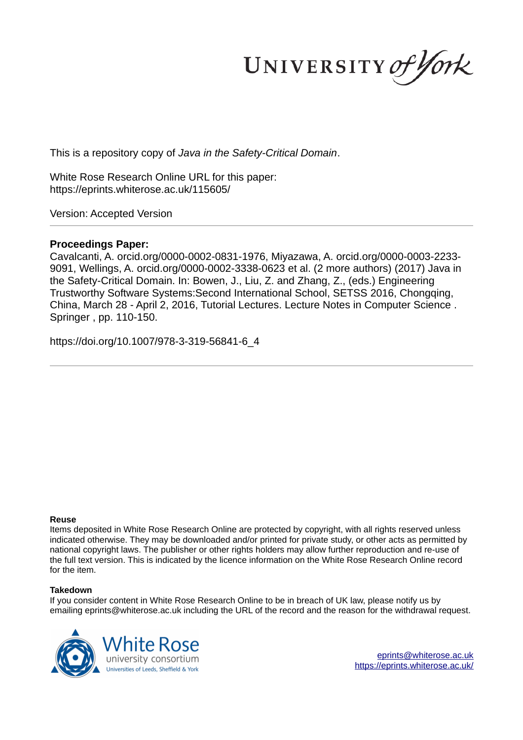UNIVERSITY of York

This is a repository copy of *Java in the Safety-Critical Domain*.

White Rose Research Online URL for this paper: https://eprints.whiterose.ac.uk/115605/

Version: Accepted Version

# **Proceedings Paper:**

Cavalcanti, A. orcid.org/0000-0002-0831-1976, Miyazawa, A. orcid.org/0000-0003-2233- 9091, Wellings, A. orcid.org/0000-0002-3338-0623 et al. (2 more authors) (2017) Java in the Safety-Critical Domain. In: Bowen, J., Liu, Z. and Zhang, Z., (eds.) Engineering Trustworthy Software Systems:Second International School, SETSS 2016, Chongqing, China, March 28 - April 2, 2016, Tutorial Lectures. Lecture Notes in Computer Science . Springer , pp. 110-150.

https://doi.org/10.1007/978-3-319-56841-6\_4

# **Reuse**

Items deposited in White Rose Research Online are protected by copyright, with all rights reserved unless indicated otherwise. They may be downloaded and/or printed for private study, or other acts as permitted by national copyright laws. The publisher or other rights holders may allow further reproduction and re-use of the full text version. This is indicated by the licence information on the White Rose Research Online record for the item.

# **Takedown**

If you consider content in White Rose Research Online to be in breach of UK law, please notify us by emailing eprints@whiterose.ac.uk including the URL of the record and the reason for the withdrawal request.



eprints@whiterose.ac.uk https://eprints.whiterose.ac.uk/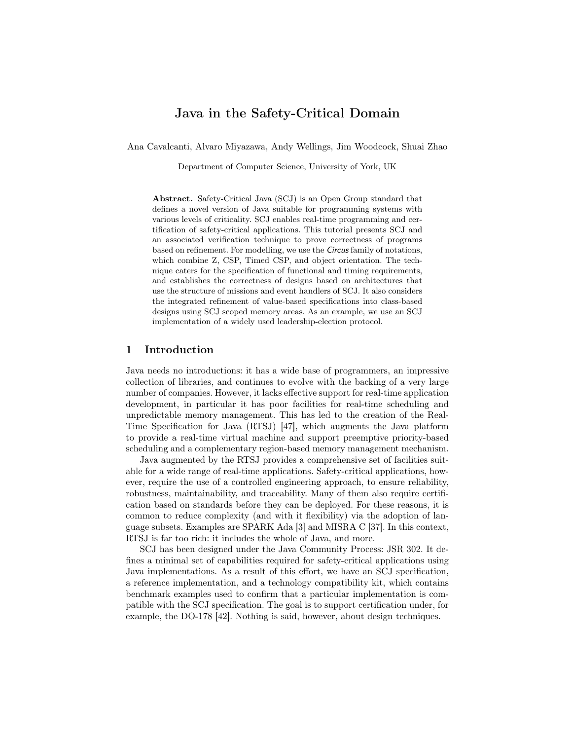# Java in the Safety-Critical Domain

Ana Cavalcanti, Alvaro Miyazawa, Andy Wellings, Jim Woodcock, Shuai Zhao

Department of Computer Science, University of York, UK

Abstract. Safety-Critical Java (SCJ) is an Open Group standard that defines a novel version of Java suitable for programming systems with various levels of criticality. SCJ enables real-time programming and certification of safety-critical applications. This tutorial presents SCJ and an associated verification technique to prove correctness of programs based on refinement. For modelling, we use the Circus family of notations, which combine Z, CSP, Timed CSP, and object orientation. The technique caters for the specification of functional and timing requirements, and establishes the correctness of designs based on architectures that use the structure of missions and event handlers of SCJ. It also considers the integrated refinement of value-based specifications into class-based designs using SCJ scoped memory areas. As an example, we use an SCJ implementation of a widely used leadership-election protocol.

# 1 Introduction

Java needs no introductions: it has a wide base of programmers, an impressive collection of libraries, and continues to evolve with the backing of a very large number of companies. However, it lacks effective support for real-time application development, in particular it has poor facilities for real-time scheduling and unpredictable memory management. This has led to the creation of the Real-Time Specification for Java (RTSJ) [47], which augments the Java platform to provide a real-time virtual machine and support preemptive priority-based scheduling and a complementary region-based memory management mechanism.

Java augmented by the RTSJ provides a comprehensive set of facilities suitable for a wide range of real-time applications. Safety-critical applications, however, require the use of a controlled engineering approach, to ensure reliability, robustness, maintainability, and traceability. Many of them also require certification based on standards before they can be deployed. For these reasons, it is common to reduce complexity (and with it flexibility) via the adoption of language subsets. Examples are SPARK Ada [3] and MISRA C [37]. In this context, RTSJ is far too rich: it includes the whole of Java, and more.

SCJ has been designed under the Java Community Process: JSR 302. It defines a minimal set of capabilities required for safety-critical applications using Java implementations. As a result of this effort, we have an SCJ specification, a reference implementation, and a technology compatibility kit, which contains benchmark examples used to confirm that a particular implementation is compatible with the SCJ specification. The goal is to support certification under, for example, the DO-178 [42]. Nothing is said, however, about design techniques.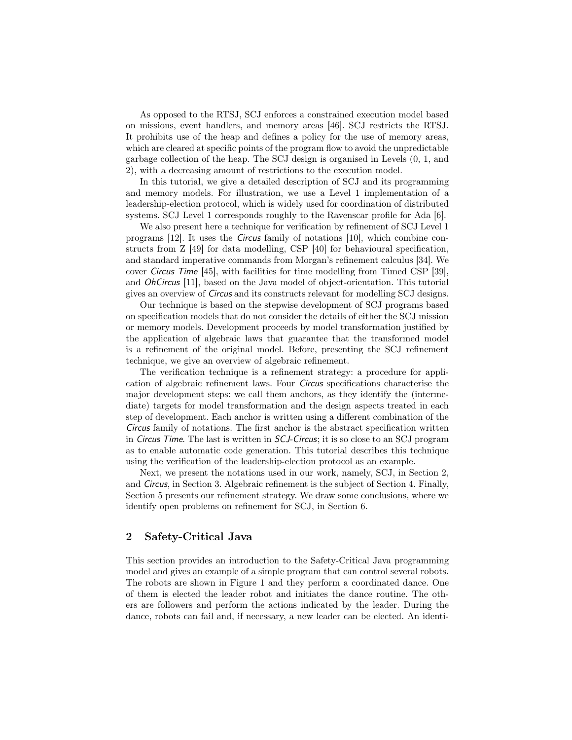As opposed to the RTSJ, SCJ enforces a constrained execution model based on missions, event handlers, and memory areas [46]. SCJ restricts the RTSJ. It prohibits use of the heap and defines a policy for the use of memory areas, which are cleared at specific points of the program flow to avoid the unpredictable garbage collection of the heap. The SCJ design is organised in Levels (0, 1, and 2), with a decreasing amount of restrictions to the execution model.

In this tutorial, we give a detailed description of SCJ and its programming and memory models. For illustration, we use a Level 1 implementation of a leadership-election protocol, which is widely used for coordination of distributed systems. SCJ Level 1 corresponds roughly to the Ravenscar profile for Ada [6].

We also present here a technique for verification by refinement of SCJ Level 1 programs [12]. It uses the Circus family of notations [10], which combine constructs from Z [49] for data modelling, CSP [40] for behavioural specification, and standard imperative commands from Morgan's refinement calculus [34]. We cover Circus Time [45], with facilities for time modelling from Timed CSP [39], and OhCircus [11], based on the Java model of object-orientation. This tutorial gives an overview of Circus and its constructs relevant for modelling SCJ designs.

Our technique is based on the stepwise development of SCJ programs based on specification models that do not consider the details of either the SCJ mission or memory models. Development proceeds by model transformation justified by the application of algebraic laws that guarantee that the transformed model is a refinement of the original model. Before, presenting the SCJ refinement technique, we give an overview of algebraic refinement.

The verification technique is a refinement strategy: a procedure for application of algebraic refinement laws. Four Circus specifications characterise the major development steps: we call them anchors, as they identify the (intermediate) targets for model transformation and the design aspects treated in each step of development. Each anchor is written using a different combination of the Circus family of notations. The first anchor is the abstract specification written in Circus Time. The last is written in SCJ-Circus; it is so close to an SCJ program as to enable automatic code generation. This tutorial describes this technique using the verification of the leadership-election protocol as an example.

Next, we present the notations used in our work, namely, SCJ, in Section 2, and Circus, in Section 3. Algebraic refinement is the subject of Section 4. Finally, Section 5 presents our refinement strategy. We draw some conclusions, where we identify open problems on refinement for SCJ, in Section 6.

# 2 Safety-Critical Java

This section provides an introduction to the Safety-Critical Java programming model and gives an example of a simple program that can control several robots. The robots are shown in Figure 1 and they perform a coordinated dance. One of them is elected the leader robot and initiates the dance routine. The others are followers and perform the actions indicated by the leader. During the dance, robots can fail and, if necessary, a new leader can be elected. An identi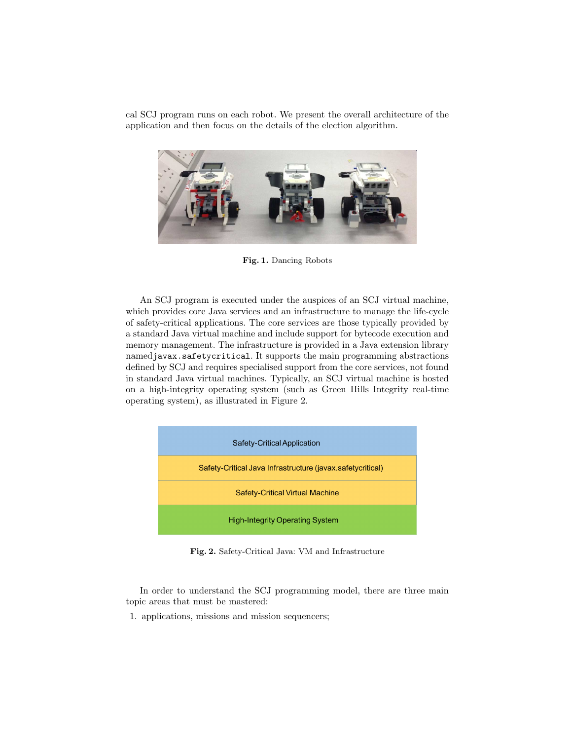cal SCJ program runs on each robot. We present the overall architecture of the application and then focus on the details of the election algorithm.



Fig. 1. Dancing Robots

An SCJ program is executed under the auspices of an SCJ virtual machine, which provides core Java services and an infrastructure to manage the life-cycle of safety-critical applications. The core services are those typically provided by a standard Java virtual machine and include support for bytecode execution and memory management. The infrastructure is provided in a Java extension library namedjavax.safetycritical. It supports the main programming abstractions defined by SCJ and requires specialised support from the core services, not found in standard Java virtual machines. Typically, an SCJ virtual machine is hosted on a high-integrity operating system (such as Green Hills Integrity real-time operating system), as illustrated in Figure 2.



Fig. 2. Safety-Critical Java: VM and Infrastructure

In order to understand the SCJ programming model, there are three main topic areas that must be mastered:

1. applications, missions and mission sequencers;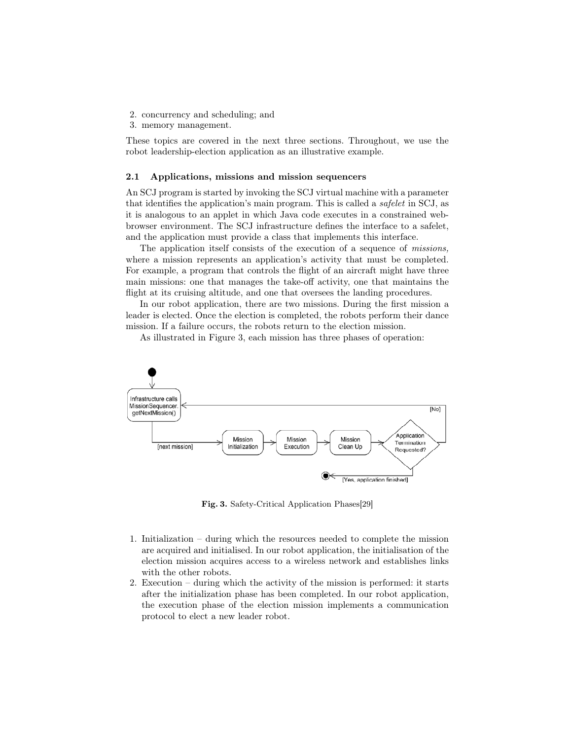- 2. concurrency and scheduling; and
- 3. memory management.

These topics are covered in the next three sections. Throughout, we use the robot leadership-election application as an illustrative example.

### 2.1 Applications, missions and mission sequencers

An SCJ program is started by invoking the SCJ virtual machine with a parameter that identifies the application's main program. This is called a safelet in SCJ, as it is analogous to an applet in which Java code executes in a constrained webbrowser environment. The SCJ infrastructure defines the interface to a safelet, and the application must provide a class that implements this interface.

The application itself consists of the execution of a sequence of missions, where a mission represents an application's activity that must be completed. For example, a program that controls the flight of an aircraft might have three main missions: one that manages the take-off activity, one that maintains the flight at its cruising altitude, and one that oversees the landing procedures.

In our robot application, there are two missions. During the first mission a leader is elected. Once the election is completed, the robots perform their dance mission. If a failure occurs, the robots return to the election mission.

As illustrated in Figure 3, each mission has three phases of operation:



Fig. 3. Safety-Critical Application Phases[29]

- 1. Initialization during which the resources needed to complete the mission are acquired and initialised. In our robot application, the initialisation of the election mission acquires access to a wireless network and establishes links with the other robots.
- 2. Execution during which the activity of the mission is performed: it starts after the initialization phase has been completed. In our robot application, the execution phase of the election mission implements a communication protocol to elect a new leader robot.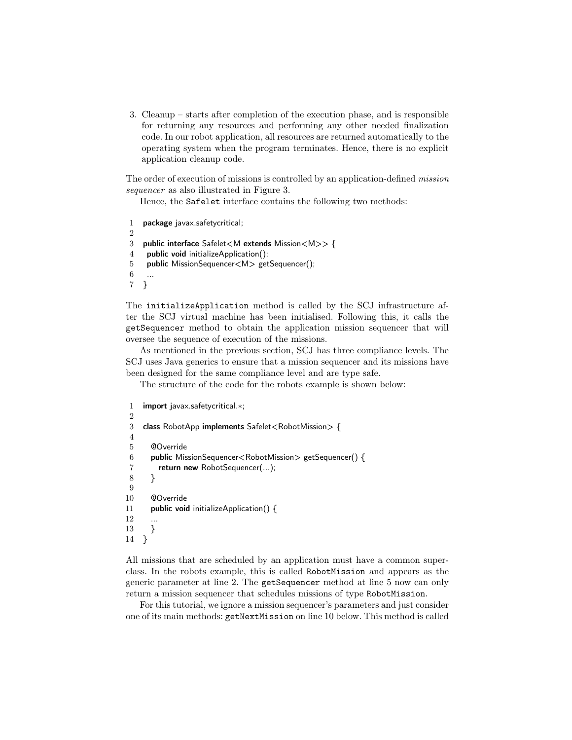3. Cleanup – starts after completion of the execution phase, and is responsible for returning any resources and performing any other needed finalization code. In our robot application, all resources are returned automatically to the operating system when the program terminates. Hence, there is no explicit application cleanup code.

The order of execution of missions is controlled by an application-defined mission sequencer as also illustrated in Figure 3.

Hence, the Safelet interface contains the following two methods:

```
1 package javax.safetycritical;
2
3 public interface Safelet<M extends Mission<M>> {
4 public void initializeApplication();
5 public MissionSequencer<M> getSequencer();
6\phantom{.}7 }
```
The initializeApplication method is called by the SCJ infrastructure after the SCJ virtual machine has been initialised. Following this, it calls the getSequencer method to obtain the application mission sequencer that will oversee the sequence of execution of the missions.

As mentioned in the previous section, SCJ has three compliance levels. The SCJ uses Java generics to ensure that a mission sequencer and its missions have been designed for the same compliance level and are type safe.

The structure of the code for the robots example is shown below:

```
1 import javax.safetycritical.∗;
\mathfrak{D}3 class RobotApp implements Safelet<RobotMission> {
4
5 @Override
6 public MissionSequencer<RobotMission> getSequencer() {
7 return new RobotSequencer(...);
8 }
9
10 @Override
11 public void initializeApplication() {
12 ...
13 }
14 }
```
All missions that are scheduled by an application must have a common superclass. In the robots example, this is called RobotMission and appears as the generic parameter at line 2. The getSequencer method at line 5 now can only return a mission sequencer that schedules missions of type RobotMission.

For this tutorial, we ignore a mission sequencer's parameters and just consider one of its main methods: getNextMission on line 10 below. This method is called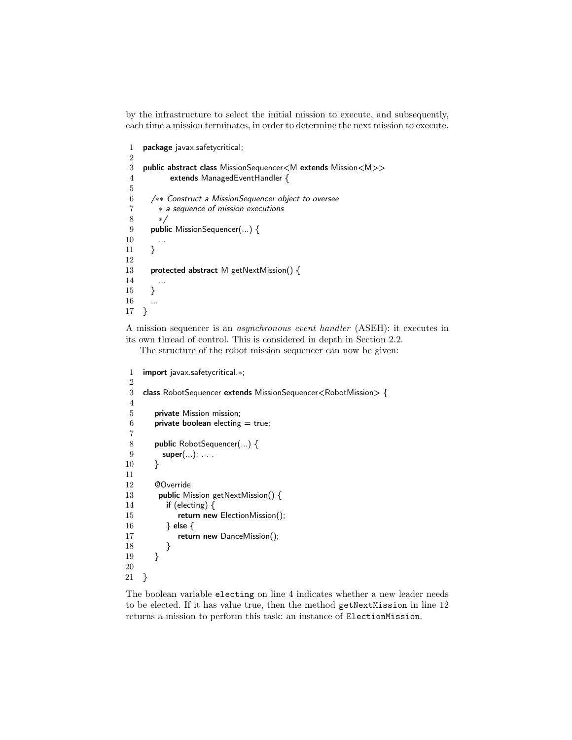by the infrastructure to select the initial mission to execute, and subsequently, each time a mission terminates, in order to determine the next mission to execute.

```
1 package javax.safetycritical;
2
3 public abstract class MissionSequencer<M extends Mission<M>>
4 extends ManagedEventHandler {
5
6 /∗∗ Construct a MissionSequencer object to oversee
7 * a sequence of mission executions
8 ∗/
9 public MissionSequencer(...) {
10<sup>1</sup>11 }
12
13 protected abstract M getNextMission() {
14
15 }
16 ...
17 }
```
A mission sequencer is an asynchronous event handler (ASEH): it executes in its own thread of control. This is considered in depth in Section 2.2.

The structure of the robot mission sequencer can now be given:

```
1 import javax.safetycritical.∗;
 2
3 class RobotSequencer extends MissionSequencer<RobotMission> {
 4
 5 private Mission mission;
 6 private boolean electing = true;
 7
 8 public RobotSequencer(...) {
9 super(...); . . .
10 }
\begin{array}{c} 11 \\ 12 \end{array}12 @Override
13 public Mission getNextMission() {
14 if (electing) \{15 return new ElectionMission();
16 } else {
17 return new DanceMission();
\begin{array}{ccc} 18 & & \\ 19 & & \end{array}19 }
20
21 }
```
The boolean variable electing on line 4 indicates whether a new leader needs to be elected. If it has value true, then the method getNextMission in line 12 returns a mission to perform this task: an instance of ElectionMission.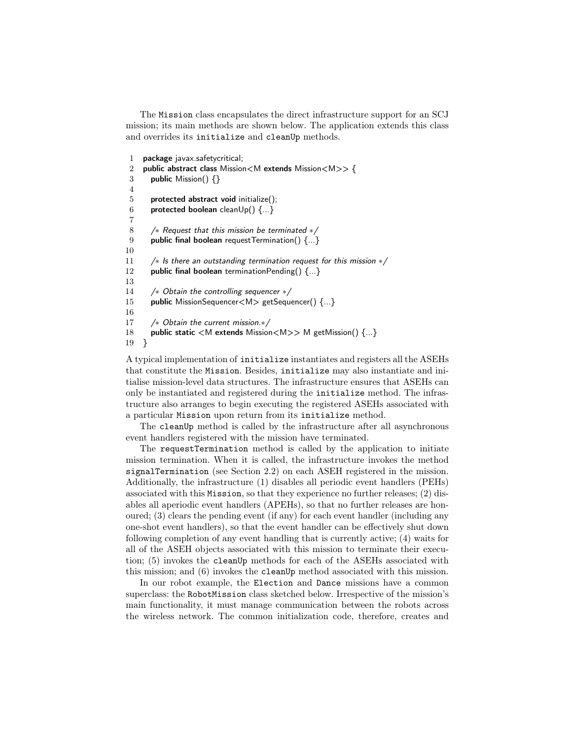The Mission class encapsulates the direct infrastructure support for an SCJ mission; its main methods are shown below. The application extends this class and overrides its initialize and cleanUp methods.

```
1 package javax.safetycritical;
2 public abstract class Mission<M extends Mission<M>> {
3 public Mission() {}
4
5 protected abstract void initialize();
6 protected boolean cleanUp() \{...\}7
8 /∗ Request that this mission be terminated ∗/
9 public final boolean request Termination() {...}
10
11 /∗ Is there an outstanding termination request for this mission ∗/
12 public final boolean terminationPending() \{...\}13
14 /* Obtain the controlling sequencer */
15 public MissionSequencer<M> getSequencer() {...}
16
17 /∗ Obtain the current mission.∗/
18 public static <M extends Mission<M>>M getMission() {...}
19 }
```
A typical implementation of initialize instantiates and registers all the ASEHs that constitute the Mission. Besides, initialize may also instantiate and initialise mission-level data structures. The infrastructure ensures that ASEHs can only be instantiated and registered during the initialize method. The infrastructure also arranges to begin executing the registered ASEHs associated with a particular Mission upon return from its initialize method.

The cleanUp method is called by the infrastructure after all asynchronous event handlers registered with the mission have terminated.

The requestTermination method is called by the application to initiate mission termination. When it is called, the infrastructure invokes the method signalTermination (see Section 2.2) on each ASEH registered in the mission. Additionally, the infrastructure (1) disables all periodic event handlers (PEHs) associated with this Mission, so that they experience no further releases; (2) disables all aperiodic event handlers (APEHs), so that no further releases are honoured; (3) clears the pending event (if any) for each event handler (including any one-shot event handlers), so that the event handler can be effectively shut down following completion of any event handling that is currently active; (4) waits for all of the ASEH objects associated with this mission to terminate their execution; (5) invokes the cleanUp methods for each of the ASEHs associated with this mission; and (6) invokes the cleanUp method associated with this mission.

In our robot example, the Election and Dance missions have a common superclass: the RobotMission class sketched below. Irrespective of the mission's main functionality, it must manage communication between the robots across the wireless network. The common initialization code, therefore, creates and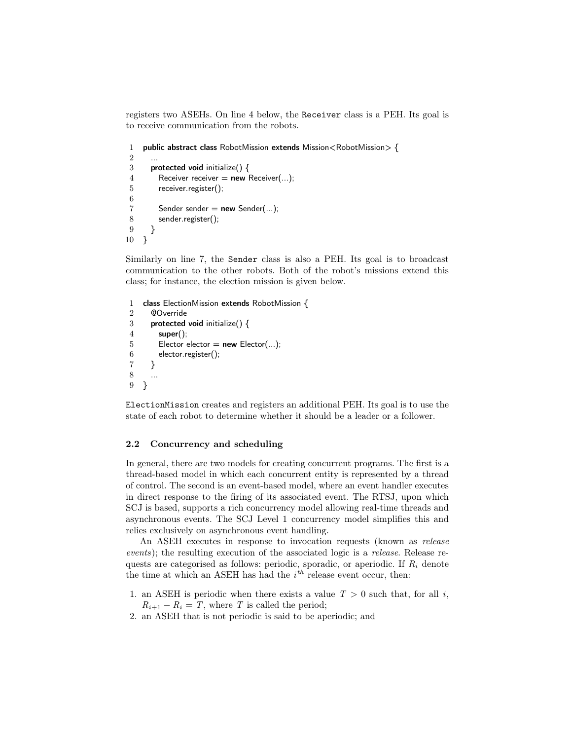registers two ASEHs. On line 4 below, the Receiver class is a PEH. Its goal is to receive communication from the robots.

```
1 public abstract class RobotMission extends Mission<RobotMission> {
2 ...
3 protected void initialize() {
4 Receiver receiver = new Receiver(...);5 receiver.register();
6
7 Sender sender = new Sender(...);
8 sender.register();
9 }
10 }
```
Similarly on line 7, the Sender class is also a PEH. Its goal is to broadcast communication to the other robots. Both of the robot's missions extend this class; for instance, the election mission is given below.

```
1 class ElectionMission extends RobotMission {
2 @Override
3 protected void initialize() {
4 super();
5 Elector elector = new Elector(...);
6 elector.register();
7 }
\begin{array}{c} 8 \\ 9 \end{array}9 }
```
ElectionMission creates and registers an additional PEH. Its goal is to use the state of each robot to determine whether it should be a leader or a follower.

### 2.2 Concurrency and scheduling

In general, there are two models for creating concurrent programs. The first is a thread-based model in which each concurrent entity is represented by a thread of control. The second is an event-based model, where an event handler executes in direct response to the firing of its associated event. The RTSJ, upon which SCJ is based, supports a rich concurrency model allowing real-time threads and asynchronous events. The SCJ Level 1 concurrency model simplifies this and relies exclusively on asynchronous event handling.

An ASEH executes in response to invocation requests (known as release events); the resulting execution of the associated logic is a release. Release requests are categorised as follows: periodic, sporadic, or aperiodic. If  $R_i$  denote the time at which an ASEH has had the  $i^{th}$  release event occur, then:

- 1. an ASEH is periodic when there exists a value  $T > 0$  such that, for all i,  $R_{i+1} - R_i = T$ , where T is called the period;
- 2. an ASEH that is not periodic is said to be aperiodic; and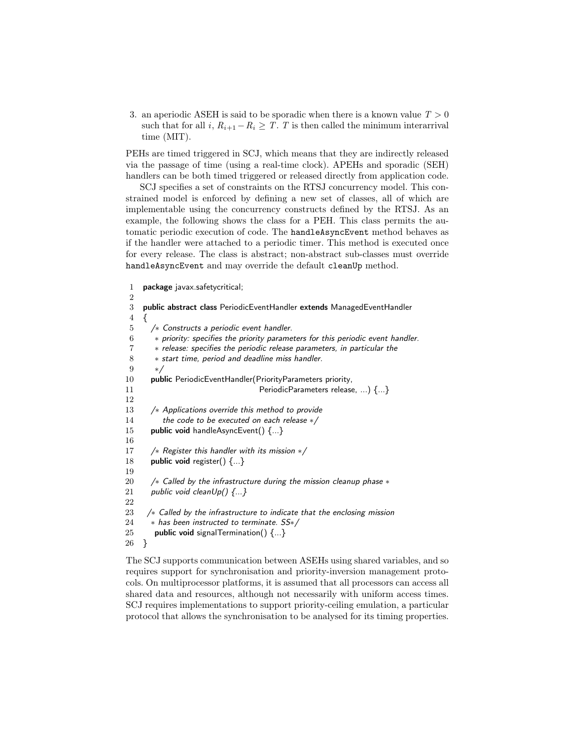3. an aperiodic ASEH is said to be sporadic when there is a known value  $T > 0$ such that for all i,  $R_{i+1} - R_i \geq T$ . T is then called the minimum interarrival time (MIT).

PEHs are timed triggered in SCJ, which means that they are indirectly released via the passage of time (using a real-time clock). APEHs and sporadic (SEH) handlers can be both timed triggered or released directly from application code.

SCJ specifies a set of constraints on the RTSJ concurrency model. This constrained model is enforced by defining a new set of classes, all of which are implementable using the concurrency constructs defined by the RTSJ. As an example, the following shows the class for a PEH. This class permits the automatic periodic execution of code. The handleAsyncEvent method behaves as if the handler were attached to a periodic timer. This method is executed once for every release. The class is abstract; non-abstract sub-classes must override handleAsyncEvent and may override the default cleanUp method.

```
1 package javax.safetycritical;
 2
 3 public abstract class PeriodicEventHandler extends ManagedEventHandler
 4 {
 5 /∗ Constructs a periodic event handler.
 6 ∗ priority: specifies the priority parameters for this periodic event handler.
 7 ∗ release: specifies the periodic release parameters, in particular the
 8 * start time, period and deadline miss handler.
9 ∗/
10 public PeriodicEventHandler(PriorityParameters priority,
11 PeriodicParameters release, ...) {...}12
13 /∗ Applications override this method to provide
14 the code to be executed on each release ∗/
15 public void handleAsyncEvent() {...}
16
17 /* Register this handler with its mission */
18 public void register() \{...\}19
20 /∗ Called by the infrastructure during the mission cleanup phase *21 public void cleanUp() \{...\}22
23 /* Called by the infrastructure to indicate that the enclosing mission
24 ∗ has been instructed to terminate. SS*/
25 public void signal Termination() \{...\}26 }
```
The SCJ supports communication between ASEHs using shared variables, and so requires support for synchronisation and priority-inversion management protocols. On multiprocessor platforms, it is assumed that all processors can access all shared data and resources, although not necessarily with uniform access times. SCJ requires implementations to support priority-ceiling emulation, a particular protocol that allows the synchronisation to be analysed for its timing properties.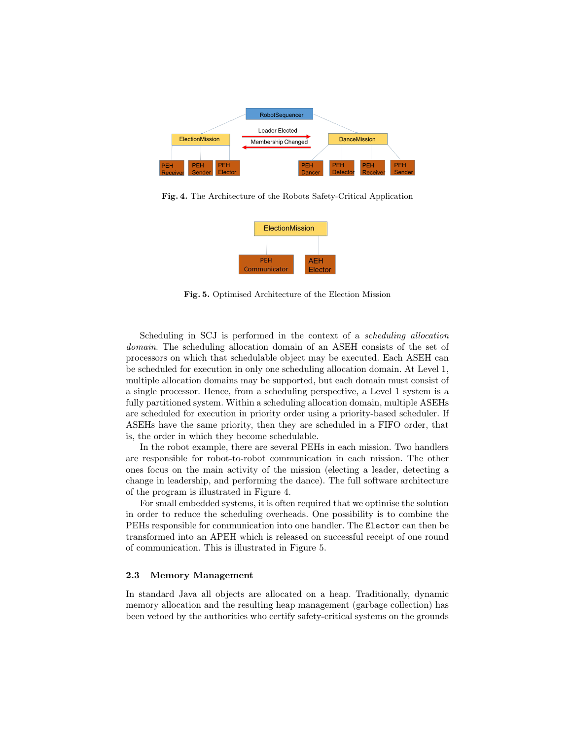

Fig. 4. The Architecture of the Robots Safety-Critical Application



Fig. 5. Optimised Architecture of the Election Mission

Scheduling in SCJ is performed in the context of a scheduling allocation domain. The scheduling allocation domain of an ASEH consists of the set of processors on which that schedulable object may be executed. Each ASEH can be scheduled for execution in only one scheduling allocation domain. At Level 1, multiple allocation domains may be supported, but each domain must consist of a single processor. Hence, from a scheduling perspective, a Level 1 system is a fully partitioned system. Within a scheduling allocation domain, multiple ASEHs are scheduled for execution in priority order using a priority-based scheduler. If ASEHs have the same priority, then they are scheduled in a FIFO order, that is, the order in which they become schedulable.

In the robot example, there are several PEHs in each mission. Two handlers are responsible for robot-to-robot communication in each mission. The other ones focus on the main activity of the mission (electing a leader, detecting a change in leadership, and performing the dance). The full software architecture of the program is illustrated in Figure 4.

For small embedded systems, it is often required that we optimise the solution in order to reduce the scheduling overheads. One possibility is to combine the PEHs responsible for communication into one handler. The Elector can then be transformed into an APEH which is released on successful receipt of one round of communication. This is illustrated in Figure 5.

### 2.3 Memory Management

In standard Java all objects are allocated on a heap. Traditionally, dynamic memory allocation and the resulting heap management (garbage collection) has been vetoed by the authorities who certify safety-critical systems on the grounds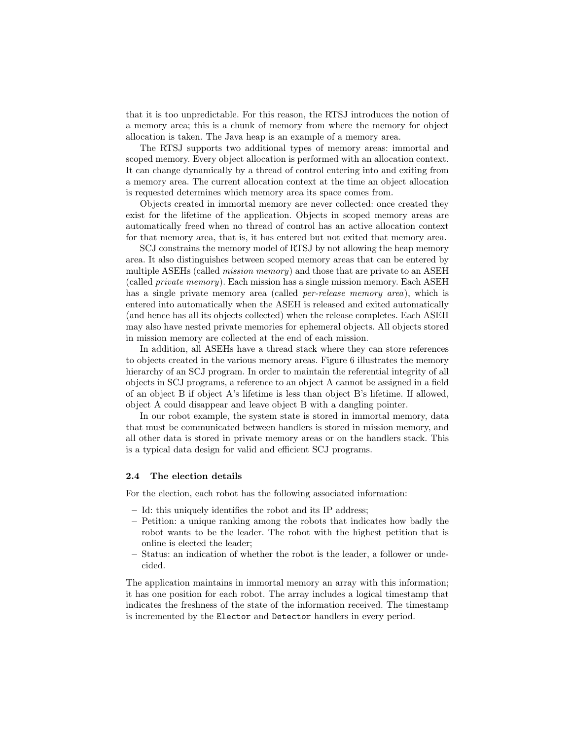that it is too unpredictable. For this reason, the RTSJ introduces the notion of a memory area; this is a chunk of memory from where the memory for object allocation is taken. The Java heap is an example of a memory area.

The RTSJ supports two additional types of memory areas: immortal and scoped memory. Every object allocation is performed with an allocation context. It can change dynamically by a thread of control entering into and exiting from a memory area. The current allocation context at the time an object allocation is requested determines which memory area its space comes from.

Objects created in immortal memory are never collected: once created they exist for the lifetime of the application. Objects in scoped memory areas are automatically freed when no thread of control has an active allocation context for that memory area, that is, it has entered but not exited that memory area.

SCJ constrains the memory model of RTSJ by not allowing the heap memory area. It also distinguishes between scoped memory areas that can be entered by multiple ASEHs (called *mission memory*) and those that are private to an ASEH (called private memory). Each mission has a single mission memory. Each ASEH has a single private memory area (called *per-release memory area*), which is entered into automatically when the ASEH is released and exited automatically (and hence has all its objects collected) when the release completes. Each ASEH may also have nested private memories for ephemeral objects. All objects stored in mission memory are collected at the end of each mission.

In addition, all ASEHs have a thread stack where they can store references to objects created in the various memory areas. Figure 6 illustrates the memory hierarchy of an SCJ program. In order to maintain the referential integrity of all objects in SCJ programs, a reference to an object A cannot be assigned in a field of an object B if object A's lifetime is less than object B's lifetime. If allowed, object A could disappear and leave object B with a dangling pointer.

In our robot example, the system state is stored in immortal memory, data that must be communicated between handlers is stored in mission memory, and all other data is stored in private memory areas or on the handlers stack. This is a typical data design for valid and efficient SCJ programs.

#### 2.4 The election details

For the election, each robot has the following associated information:

- Id: this uniquely identifies the robot and its IP address;
- Petition: a unique ranking among the robots that indicates how badly the robot wants to be the leader. The robot with the highest petition that is online is elected the leader;
- Status: an indication of whether the robot is the leader, a follower or undecided.

The application maintains in immortal memory an array with this information; it has one position for each robot. The array includes a logical timestamp that indicates the freshness of the state of the information received. The timestamp is incremented by the Elector and Detector handlers in every period.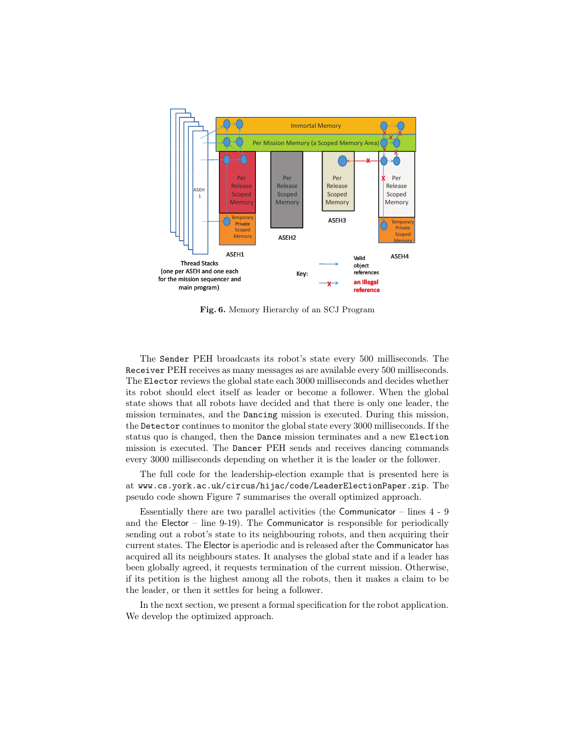

Fig. 6. Memory Hierarchy of an SCJ Program

The Sender PEH broadcasts its robot's state every 500 milliseconds. The Receiver PEH receives as many messages as are available every 500 milliseconds. The Elector reviews the global state each 3000 milliseconds and decides whether its robot should elect itself as leader or become a follower. When the global state shows that all robots have decided and that there is only one leader, the mission terminates, and the Dancing mission is executed. During this mission, the Detector continues to monitor the global state every 3000 milliseconds. If the status quo is changed, then the Dance mission terminates and a new Election mission is executed. The Dancer PEH sends and receives dancing commands every 3000 milliseconds depending on whether it is the leader or the follower.

The full code for the leadership-election example that is presented here is at www.cs.york.ac.uk/circus/hijac/code/LeaderElectionPaper.zip. The pseudo code shown Figure 7 summarises the overall optimized approach.

Essentially there are two parallel activities (the Communicator  $-$  lines  $4 - 9$ and the Elector – line 9-19). The Communicator is responsible for periodically sending out a robot's state to its neighbouring robots, and then acquiring their current states. The Elector is aperiodic and is released after the Communicator has acquired all its neighbours states. It analyses the global state and if a leader has been globally agreed, it requests termination of the current mission. Otherwise, if its petition is the highest among all the robots, then it makes a claim to be the leader, or then it settles for being a follower.

In the next section, we present a formal specification for the robot application. We develop the optimized approach.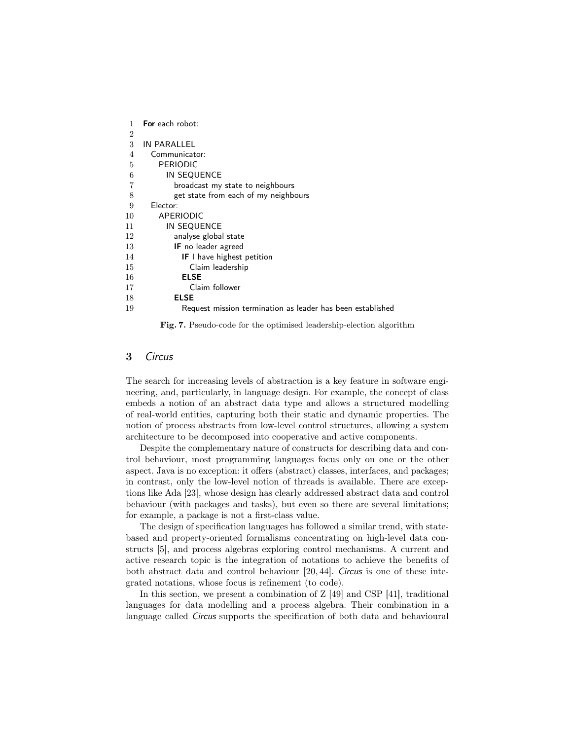| 1              | <b>For</b> each robot:                                     |
|----------------|------------------------------------------------------------|
| $\overline{2}$ |                                                            |
| 3              | IN PARALLEL                                                |
| 4              | Communicator:                                              |
| 5              | <b>PERIODIC</b>                                            |
| 6              | IN SEQUENCE                                                |
| 7              | broadcast my state to neighbours                           |
| 8              | get state from each of my neighbours                       |
| 9              | Elector:                                                   |
| 10             | APERIODIC                                                  |
| 11             | IN SEQUENCE                                                |
| 12             | analyse global state                                       |
| 13             | IF no leader agreed                                        |
| 14             | <b>IF</b> I have highest petition                          |
| 15             | Claim leadership                                           |
| 16             | <b>ELSE</b>                                                |
| 17             | Claim follower                                             |
| 18             | <b>ELSE</b>                                                |
| 19             | Request mission termination as leader has been established |
|                |                                                            |

Fig. 7. Pseudo-code for the optimised leadership-election algorithm

## 3 Circus

The search for increasing levels of abstraction is a key feature in software engineering, and, particularly, in language design. For example, the concept of class embeds a notion of an abstract data type and allows a structured modelling of real-world entities, capturing both their static and dynamic properties. The notion of process abstracts from low-level control structures, allowing a system architecture to be decomposed into cooperative and active components.

Despite the complementary nature of constructs for describing data and control behaviour, most programming languages focus only on one or the other aspect. Java is no exception: it offers (abstract) classes, interfaces, and packages; in contrast, only the low-level notion of threads is available. There are exceptions like Ada [23], whose design has clearly addressed abstract data and control behaviour (with packages and tasks), but even so there are several limitations; for example, a package is not a first-class value.

The design of specification languages has followed a similar trend, with statebased and property-oriented formalisms concentrating on high-level data constructs [5], and process algebras exploring control mechanisms. A current and active research topic is the integration of notations to achieve the benefits of both abstract data and control behaviour [20, 44]. Circus is one of these integrated notations, whose focus is refinement (to code).

In this section, we present a combination of Z [49] and CSP [41], traditional languages for data modelling and a process algebra. Their combination in a language called *Circus* supports the specification of both data and behavioural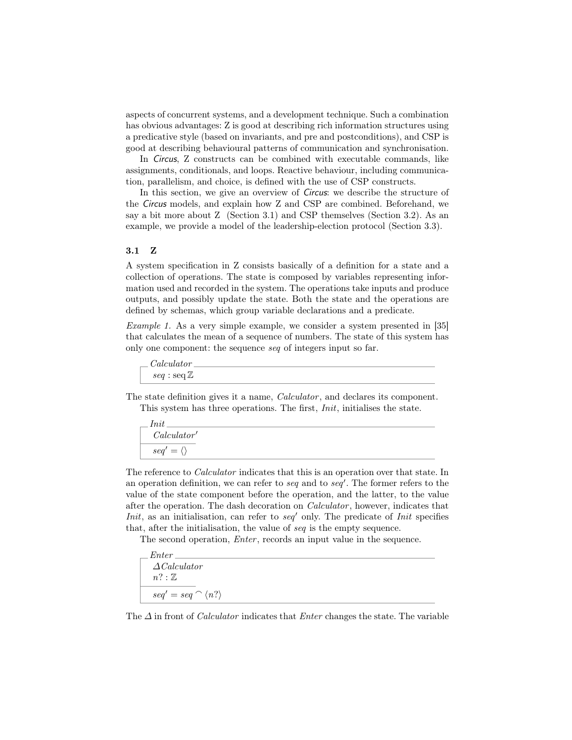aspects of concurrent systems, and a development technique. Such a combination has obvious advantages: Z is good at describing rich information structures using a predicative style (based on invariants, and pre and postconditions), and CSP is good at describing behavioural patterns of communication and synchronisation.

In Circus, Z constructs can be combined with executable commands, like assignments, conditionals, and loops. Reactive behaviour, including communication, parallelism, and choice, is defined with the use of CSP constructs.

In this section, we give an overview of *Circus*: we describe the structure of the Circus models, and explain how Z and CSP are combined. Beforehand, we say a bit more about Z (Section 3.1) and CSP themselves (Section 3.2). As an example, we provide a model of the leadership-election protocol (Section 3.3).

### 3.1 Z

A system specification in Z consists basically of a definition for a state and a collection of operations. The state is composed by variables representing information used and recorded in the system. The operations take inputs and produce outputs, and possibly update the state. Both the state and the operations are defined by schemas, which group variable declarations and a predicate.

Example 1. As a very simple example, we consider a system presented in [35] that calculates the mean of a sequence of numbers. The state of this system has only one component: the sequence seq of integers input so far.

| Calculator                |  |
|---------------------------|--|
| $\overline{r}$<br>$seq$ . |  |

The state definition gives it a name, *Calculator*, and declares its component. This system has three operations. The first, *Init*, initialises the state.

| Init                     |  |  |  |
|--------------------------|--|--|--|
| Calculator'              |  |  |  |
| $seq' = \langle \rangle$ |  |  |  |

The reference to Calculator indicates that this is an operation over that state. In an operation definition, we can refer to seq and to seq'. The former refers to the value of the state component before the operation, and the latter, to the value after the operation. The dash decoration on Calculator , however, indicates that Init, as an initialisation, can refer to  $seq'$  only. The predicate of Init specifies that, after the initialisation, the value of seq is the empty sequence.

The second operation, *Enter*, records an input value in the sequence.

| Enter                                |  |
|--------------------------------------|--|
| $\triangle Calculate$                |  |
| $n? : \mathbb{Z}$                    |  |
|                                      |  |
| $seq' = seq \cap \langle n? \rangle$ |  |

The  $\Delta$  in front of *Calculator* indicates that *Enter changes* the state. The variable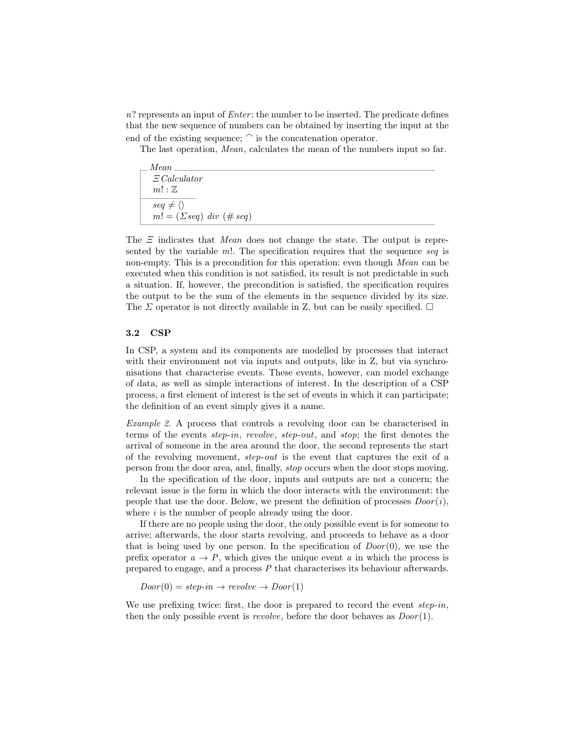$n$ ? represents an input of *Enter*: the number to be inserted. The predicate defines that the new sequence of numbers can be obtained by inserting the input at the end of the existing sequence;  $\hat{ }$  is the concatenation operator.

The last operation, Mean, calculates the mean of the numbers input so far.

| Mean                               |  |
|------------------------------------|--|
| $\Xi$ Calculator                   |  |
| $m! : \mathbb{Z}$                  |  |
| $seq \neq \langle \rangle$         |  |
| $m! = (\Sigma seq) \ div (\# seq)$ |  |

The  $\Xi$  indicates that *Mean* does not change the state. The output is represented by the variable  $m!$ . The specification requires that the sequence seq is non-empty. This is a precondition for this operation: even though *Mean* can be executed when this condition is not satisfied, its result is not predictable in such a situation. If, however, the precondition is satisfied, the specification requires the output to be the sum of the elements in the sequence divided by its size. The  $\Sigma$  operator is not directly available in Z, but can be easily specified.  $\square$ 

# 3.2 CSP

In CSP, a system and its components are modelled by processes that interact with their environment not via inputs and outputs, like in  $Z$ , but via synchronisations that characterise events. These events, however, can model exchange of data, as well as simple interactions of interest. In the description of a CSP process, a first element of interest is the set of events in which it can participate; the definition of an event simply gives it a name.

Example 2. A process that controls a revolving door can be characterised in terms of the events step-in, revolve, step-out, and stop; the first denotes the arrival of someone in the area around the door, the second represents the start of the revolving movement, step-out is the event that captures the exit of a person from the door area, and, finally, stop occurs when the door stops moving.

In the specification of the door, inputs and outputs are not a concern; the relevant issue is the form in which the door interacts with the environment: the people that use the door. Below, we present the definition of processes  $Door(i)$ , where  $i$  is the number of people already using the door.

If there are no people using the door, the only possible event is for someone to arrive; afterwards, the door starts revolving, and proceeds to behave as a door that is being used by one person. In the specification of  $Door(0)$ , we use the prefix operator  $a \to P$ , which gives the unique event a in which the process is prepared to engage, and a process P that characterises its behaviour afterwards.

 $Door(0) = step-in \rightarrow revolve \rightarrow Door(1)$ 

We use prefixing twice: first, the door is prepared to record the event step-in, then the only possible event is *revolve*, before the door behaves as  $Door(1)$ .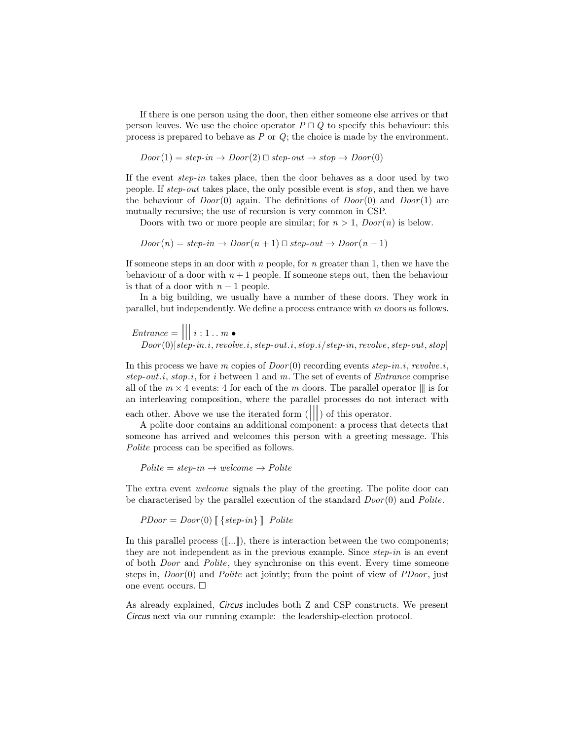If there is one person using the door, then either someone else arrives or that person leaves. We use the choice operator  $P \square Q$  to specify this behaviour: this process is prepared to behave as  $P$  or  $Q$ ; the choice is made by the environment.

$$
Door(1) = step\text{-}in \rightarrow Door(2) \sqcup step\text{-}out \rightarrow stop \rightarrow Door(0)
$$

If the event step-in takes place, then the door behaves as a door used by two people. If step-out takes place, the only possible event is stop, and then we have the behaviour of  $Door(0)$  again. The definitions of  $Door(0)$  and  $Door(1)$  are mutually recursive; the use of recursion is very common in CSP.

Doors with two or more people are similar; for  $n > 1$ ,  $Door(n)$  is below.

$$
Door(n) = step\text{-}in \rightarrow Door(n+1) \sqcup step\text{-}out \rightarrow Door(n-1)
$$

If someone steps in an door with n people, for n greater than 1, then we have the behaviour of a door with  $n+1$  people. If someone steps out, then the behaviour is that of a door with  $n-1$  people.

In a big building, we usually have a number of these doors. They work in parallel, but independently. We define a process entrance with m doors as follows.

 $\textit{Entrance} = \bigg\|\bigg\| \ i : 1 \ldots m$  $Door (0) [step-in.i, revolve.i, step-out.i, stop.i/step-in, revolve, step-out, stop]$ 

In this process we have m copies of  $Door(0)$  recording events step-in.i, revolve.i, step-out.i, stop.i, for i between 1 and m. The set of events of *Entrance* comprise all of the  $m \times 4$  events: 4 for each of the m doors. The parallel operator  $\parallel \parallel$  is for an interleaving composition, where the parallel processes do not interact with each other. Above we use the iterated form  $(||||)$  of this operator.

A polite door contains an additional component: a process that detects that someone has arrived and welcomes this person with a greeting message. This Polite process can be specified as follows.

 $Polite = step-in \rightarrow welcome \rightarrow Polite$ 

The extra event welcome signals the play of the greeting. The polite door can be characterised by the parallel execution of the standard  $Door(0)$  and  $Policy.$ 

$$
PDoor = Door(0) \llbracket \{step-in\} \rrbracket \quad Polite
$$

In this parallel process  $(\lceil \ldots \rceil)$ , there is interaction between the two components; they are not independent as in the previous example. Since  $step-in$  is an event of both Door and Polite, they synchronise on this event. Every time someone steps in,  $Door(0)$  and *Polite* act jointly; from the point of view of *PDoor*, just one event occurs.  $\Box$ 

As already explained, Circus includes both Z and CSP constructs. We present Circus next via our running example: the leadership-election protocol.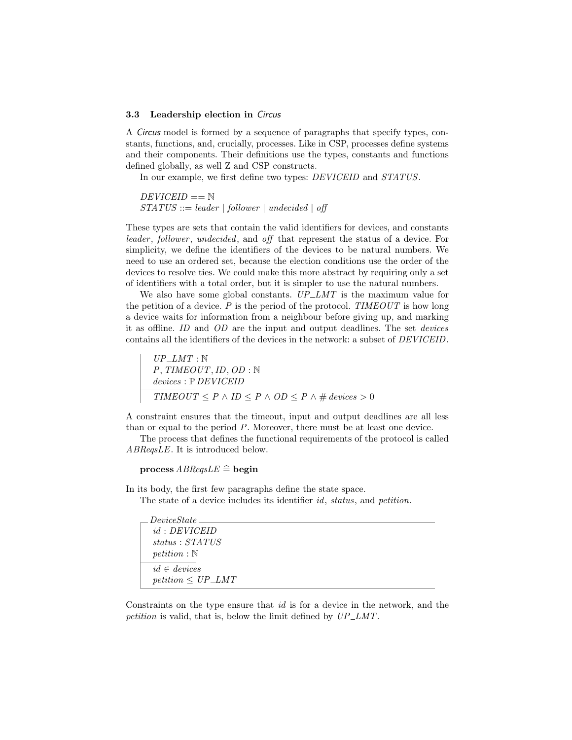#### 3.3 Leadership election in Circus

A Circus model is formed by a sequence of paragraphs that specify types, constants, functions, and, crucially, processes. Like in CSP, processes define systems and their components. Their definitions use the types, constants and functions defined globally, as well Z and CSP constructs.

In our example, we first define two types: DEVICEID and STATUS.

 $DEVICEID == N$  $STATUS ::= leader | follower | undecided | off$ 

These types are sets that contain the valid identifiers for devices, and constants leader, follower, undecided, and off that represent the status of a device. For simplicity, we define the identifiers of the devices to be natural numbers. We need to use an ordered set, because the election conditions use the order of the devices to resolve ties. We could make this more abstract by requiring only a set of identifiers with a total order, but it is simpler to use the natural numbers.

We also have some global constants.  $UP\_LMT$  is the maximum value for the petition of a device. P is the period of the protocol.  $TIMEOUT$  is how long a device waits for information from a neighbour before giving up, and marking it as offline. ID and OD are the input and output deadlines. The set devices contains all the identifiers of the devices in the network: a subset of DEVICEID.

 $UP\_LMT : \mathbb{N}$  $P, TIMEOUT, ID, OD : \mathbb{N}$ devices : P DEVICEID TIMEOUT  $\leq P \wedge ID \leq P \wedge OD \leq P \wedge \# devices > 0$ 

A constraint ensures that the timeout, input and output deadlines are all less than or equal to the period P. Moreover, there must be at least one device.

The process that defines the functional requirements of the protocol is called ABReqsLE. It is introduced below.

```
process ABReqsLE \hat{=} begin
```
In its body, the first few paragraphs define the state space. The state of a device includes its identifier *id, status*, and *petition*.

| $. DeviceState$ .      |  |  |
|------------------------|--|--|
| $id:$ DEVICEID         |  |  |
| status : STATUS        |  |  |
| $petition: \mathbb{N}$ |  |  |
| $id \in devices$       |  |  |
| $petition \le UP\_LMT$ |  |  |

Constraints on the type ensure that id is for a device in the network, and the petition is valid, that is, below the limit defined by  $UP\_LMT$ .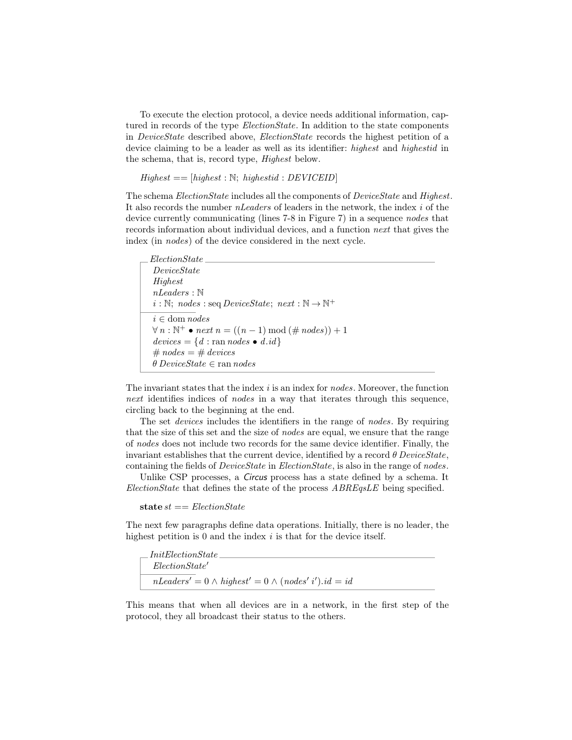To execute the election protocol, a device needs additional information, captured in records of the type *ElectionState*. In addition to the state components in DeviceState described above, ElectionState records the highest petition of a device claiming to be a leader as well as its identifier: *highest* and *highestid* in the schema, that is, record type, Highest below.

 $Highest == [highest : N; highestid : DEVICEID]$ 

The schema *ElectionState* includes all the components of *DeviceState* and *Highest*. It also records the number nLeaders of leaders in the network, the index i of the device currently communicating (lines 7-8 in Figure 7) in a sequence *nodes* that records information about individual devices, and a function next that gives the index (in nodes) of the device considered in the next cycle.

| ElectionState                                                                           |
|-----------------------------------------------------------------------------------------|
| <i>DeviceState</i>                                                                      |
| Highest                                                                                 |
| nLeaders : N                                                                            |
| $i:\mathbb{N};\ nodes : \text{seq} \ DeviceState; \ next : \mathbb{N} \to \mathbb{N}^+$ |
| $i \in \text{dom nodes}$                                                                |
| $\forall n : \mathbb{N}^+ \bullet next \; n = ((n-1) \bmod (\# nodes)) + 1$             |
| $devices = \{d : \text{ran nodes} \bullet d.id\}$                                       |
| $\# nodes = \# devices$                                                                 |
| $\theta$ DeviceState $\in$ ran nodes                                                    |

The invariant states that the index  $i$  is an index for nodes. Moreover, the function next identifies indices of nodes in a way that iterates through this sequence, circling back to the beginning at the end.

The set devices includes the identifiers in the range of nodes. By requiring that the size of this set and the size of nodes are equal, we ensure that the range of nodes does not include two records for the same device identifier. Finally, the invariant establishes that the current device, identified by a record  $\theta$  DeviceState, containing the fields of *DeviceState* in *ElectionState*, is also in the range of *nodes*.

Unlike CSP processes, a Circus process has a state defined by a schema. It ElectionState that defines the state of the process ABREqsLE being specified.

state  $st ==$  ElectionState

The next few paragraphs define data operations. Initially, there is no leader, the highest petition is 0 and the index  $i$  is that for the device itself.

| In it Electron State                                           |  |
|----------------------------------------------------------------|--|
| ElectionState'                                                 |  |
| $nLeaders' = 0 \wedge highest' = 0 \wedge (nodes' i').id = id$ |  |

This means that when all devices are in a network, in the first step of the protocol, they all broadcast their status to the others.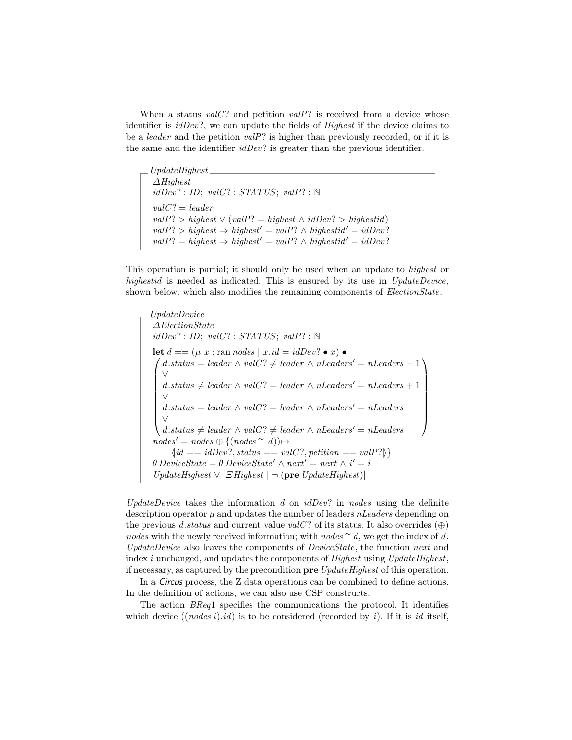When a status  $valC$ ? and petition  $valP$ ? is received from a device whose identifier is  $idDev$ , we can update the fields of *Highest* if the device claims to be a leader and the petition valP? is higher than previously recorded, or if it is the same and the identifier  $idDev?$  is greater than the previous identifier.

 $UpdateHigher$ ∆Highest  $idDev? : ID: valC? : STATUS: valP? : N$  $valC$ ? = leader  $valP?$  > highest  $\vee$  (val $P?$  = highest  $\wedge$  idDev? > highestid)  $valP? > highest \Rightarrow highest' = valP? \land highest' = idDev?$  $valP? = highest \Rightarrow highest' = valP? \land highest' = idDev?$ 

This operation is partial; it should only be used when an update to highest or highestid is needed as indicated. This is ensured by its use in UpdateDevice, shown below, which also modifies the remaining components of *ElectionState*.

UpdateDevice ∆ElectionState  $idDev? : ID; valC? : STATUS; valP? : N$  $\textbf{let } d == (\mu \ x : \text{ran nodes} \mid x.id = idDev? \bullet x) \bullet$  $\int d. s tatus = leader \wedge valC? \neq leader \wedge nLeaders' = nLeaders - 1$  ∨ d.status  $\neq$  leader  $\land$  val $C$ ? = leader  $\land$  nLeaders' = nLeaders + 1 ∨ d.status = leader  $\land valC$ ? = leader  $\land$  nLeaders' = nLeaders ∨  $\big\backslash d.\text{status} \neq \text{leader} \land \text{valC?} \neq \text{leader} \land \text{nLeaders}' = \text{nLeaders}$  $\setminus$  $\begin{array}{c} \hline \end{array}$  $nodes' = nodes ⊕ \{(nodes \sim d)\}\mapsto$  $\langle id == idDev?, status == valC?, petition == valP? \rangle$  $\theta$  DeviceState =  $\theta$  DeviceState'  $\wedge$  next' = next  $\wedge$  i' = i UpdateHighest  $\vee$  [ $\Xi$ Highest |  $\neg$  (pre UpdateHighest)]

UpdateDevice takes the information d on  $idDev?$  in nodes using the definite description operator  $\mu$  and updates the number of leaders nLeaders depending on the previous d.status and current value valC? of its status. It also overrides (⊕) nodes with the newly received information; with nodes  $\sim d$ , we get the index of d. UpdateDevice also leaves the components of DeviceState, the function next and index i unchanged, and updates the components of  $Highest$  using  $UpdateHigher$ , if necessary, as captured by the precondition pre UpdateHighest of this operation.

In a Circus process, the Z data operations can be combined to define actions. In the definition of actions, we can also use CSP constructs.

The action BReq1 specifies the communications the protocol. It identifies which device  $((nodes i).id)$  is to be considered (recorded by i). If it is id itself,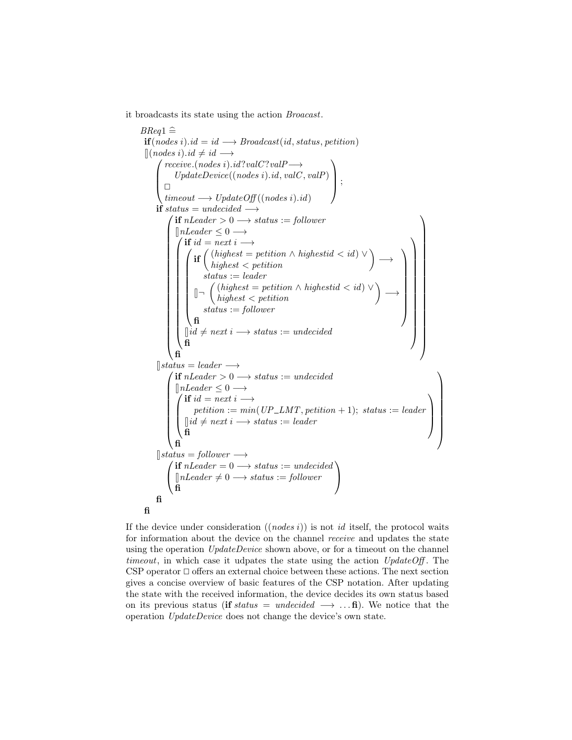it broadcasts its state using the action Broacast.

$$
BReq1 \cong \textbf{if}(nodes i).id = id \longrightarrow Broadcasting (id, status, pettion) \textbf{if} (nodes i).id \neq id \longrightarrow \textbf{if} (nodes i).id \neq id \longrightarrow \textbf{if} (nodes i).id ?valC?valP \longrightarrow \textbf{if} (nodes i).id, valC, valP) \textbf{if} (nodes i).id, valC, valP) \textbf{if} (nodes i).id) \textbf{if} (nodes i).id \rightarrow \textbf{if} nLeader \geq 0 \longrightarrow status := following \textbf{if} (nodes i).id) \textbf{if} nLeader \geq 0 \longrightarrow status := following \textbf{if} (highest = pettion \land highestid < id) \lor \textbf{if} \textbf{if} (highest = pettion \land highestid < id) \lor \textbf{if} \textbf{if} (modelsst = pettion \land highestid < id) \lor \textbf{if} \textbf{if} \textbf{if} \textbf{else} \neq 0 \land \textbf{if} \textbf{if} \textbf{else} \neq 0 \land \textbf{if} \textbf{else} \neq 0 \land \textbf{if} \textbf{else} \neq 0 \land \textbf{if} \textbf{else} \neq 0 \land \textbf{if} \textbf{if} \textbf{in} \neq 0 \land \textbf{if} \textbf{if} \textbf{in} \neq 0 \land \textbf{if} \textbf{if} \textbf{else} \neq 0 \land \textbf{if} \textbf{if} \textbf{else} \neq 0 \land \textbf{if} \textbf{if} \textbf{else} \neq 0 \land \textbf{if} \textbf{if} \textbf{else} \neq 0 \land \textbf{if} \textbf{if} \textbf{else} \neq 0 \land \textbf{if} \textbf{if} \textbf{else} \neq 0 \land \textbf{if} \textbf{if} \textbf{else} \neq 0 \land \textbf{if} \textbf{if} \textbf{else} \neq 0 \land \textbf{if} \textbf{else} \neq 0 \land \textbf{if} \textbf{else} \neq 0 \land \textbf{if} \textbf{else} \neq 0 \land \textbf{if} \textbf{else} \neq 0 \land \textbf{if} \textbf{else} \neq 0 \land \textbf{if} \textbf{else} \neq 0 \land \textbf{if} \text
$$

If the device under consideration  $((nodes i))$  is not *id* itself, the protocol waits for information about the device on the channel receive and updates the state using the operation *UpdateDevice* shown above, or for a timeout on the channel timeout, in which case it udpates the state using the action  $UpdateOff$ . The CSP operator  $\Box$  offers an external choice between these actions. The next section gives a concise overview of basic features of the CSP notation. After updating the state with the received information, the device decides its own status based on its previous status (if status = undecided  $\rightarrow \dots$  fi). We notice that the operation UpdateDevice does not change the device's own state.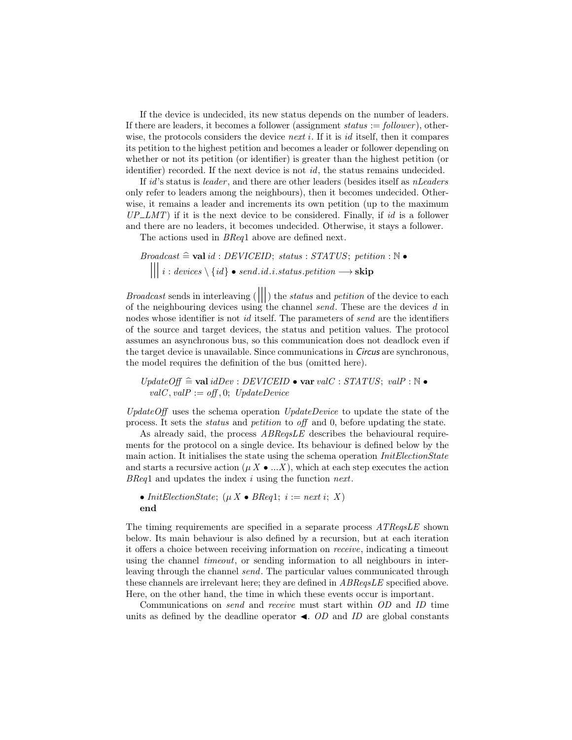If the device is undecided, its new status depends on the number of leaders. If there are leaders, it becomes a follower (assignment status :=  $follower$ ), otherwise, the protocols considers the device *next i*. If it is *id* itself, then it compares its petition to the highest petition and becomes a leader or follower depending on whether or not its petition (or identifier) is greater than the highest petition (or identifier) recorded. If the next device is not id, the status remains undecided.

If id's status is leader , and there are other leaders (besides itself as nLeaders only refer to leaders among the neighbours), then it becomes undecided. Otherwise, it remains a leader and increments its own petition (up to the maximum  $UP\_LMT$ ) if it is the next device to be considered. Finally, if id is a follower and there are no leaders, it becomes undecided. Otherwise, it stays a follower.

The actions used in BReq1 above are defined next.

 $Broadcast \cong \textbf{val } id : DEVICEID; \; status : STATUS; \; petition : \mathbb{N} \bullet$  $\iiint i : devices \setminus \{id\} \bullet send.id.i.status.petition \longrightarrow \textbf{skip}$ 

*Broadcast* sends in interleaving  $(||||)$  the *status* and *petition* of the device to each of the neighbouring devices using the channel send. These are the devices d in nodes whose identifier is not *id* itself. The parameters of *send* are the identifiers of the source and target devices, the status and petition values. The protocol assumes an asynchronous bus, so this communication does not deadlock even if the target device is unavailable. Since communications in Circus are synchronous, the model requires the definition of the bus (omitted here).

 $UpdateOff \cong \textbf{val } idDev : DEVICEID \bullet \textbf{var } valC : STATUS; valP : \mathbb{N} \bullet$  $valC, valP := off, 0; UpdateDevice$ 

UpdateOff uses the schema operation UpdateDevice to update the state of the process. It sets the status and petition to off and 0, before updating the state.

As already said, the process *ABRegsLE* describes the behavioural requirements for the protocol on a single device. Its behaviour is defined below by the main action. It initialises the state using the schema operation *InitElectionState* and starts a recursive action  $(\mu X \bullet ... X)$ , which at each step executes the action  $B$ Req1 and updates the index i using the function next.

```
• InitElectionState; (\mu X \bullet B\text{Re}q1; i := \text{next } i; X)end
```
The timing requirements are specified in a separate process ATReqsLE shown below. Its main behaviour is also defined by a recursion, but at each iteration it offers a choice between receiving information on receive, indicating a timeout using the channel timeout, or sending information to all neighbours in interleaving through the channel send. The particular values communicated through these channels are irrelevant here; they are defined in *ABReqsLE* specified above. Here, on the other hand, the time in which these events occur is important.

Communications on send and receive must start within OD and ID time units as defined by the deadline operator  $\triangleleft$ . OD and ID are global constants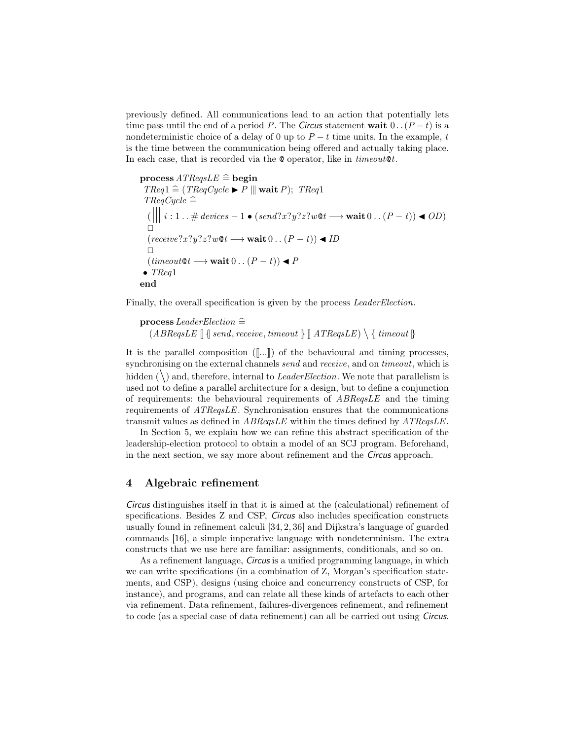previously defined. All communications lead to an action that potentially lets time pass until the end of a period P. The Circus statement wait  $0 \dots (P-t)$  is a nondeterministic choice of a delay of 0 up to  $P - t$  time units. In the example, t is the time between the communication being offered and actually taking place. In each case, that is recorded via the  $\mathbf{\circ}$  operator, like in timeout $\mathbf{\circ}t$ .

process  $ATReqsLE \nightharpoonup$  begin  $TReq1 \nightharpoonup (TReqCycle \triangleright P \parallel \textbf{wait} P); \nTReq1$  $TReqCycle \nightharpoonup$  $\mathcal{L}$   $\left\| \left\| i : 1 \dots \text{# devices } - 1 \bullet (send?x?y?z?w@t \longrightarrow \textbf{wait} \cup \dots (P - t) \right) \triangleleft OD \right\|$  $\Box$  $(receive?x?y?z?w@t \longrightarrow \textbf{wait} \cup . (P - t)) \triangleleft ID$  $\Box$  $(timeout@t \longrightarrow \textbf{wait} 0$ . .  $(P - t)) \triangleleft P$ • TReq1 end

Finally, the overall specification is given by the process *LeaderElection*.

**process** LeaderElection  $\hat{=}$  $(ABReqsLE \parallel \{l\ send, receive, timeout \} \parallel ATRegsLE) \setminus \{l\ timeout \}$ 

It is the parallel composition  $(\lbrack\!\lbrack\ldots\rbrack\!\rbrack)$  of the behavioural and timing processes, synchronising on the external channels send and receive, and on timeout, which is hidden  $(\setminus)$  and, therefore, internal to *LeaderElection*. We note that parallelism is used not to define a parallel architecture for a design, but to define a conjunction of requirements: the behavioural requirements of ABReqsLE and the timing requirements of ATReqsLE. Synchronisation ensures that the communications transmit values as defined in ABReqsLE within the times defined by ATReqsLE.

In Section 5, we explain how we can refine this abstract specification of the leadership-election protocol to obtain a model of an SCJ program. Beforehand, in the next section, we say more about refinement and the Circus approach.

# 4 Algebraic refinement

Circus distinguishes itself in that it is aimed at the (calculational) refinement of specifications. Besides Z and CSP, Circus also includes specification constructs usually found in refinement calculi [34, 2, 36] and Dijkstra's language of guarded commands [16], a simple imperative language with nondeterminism. The extra constructs that we use here are familiar: assignments, conditionals, and so on.

As a refinement language, Circus is a unified programming language, in which we can write specifications (in a combination of Z, Morgan's specification statements, and CSP), designs (using choice and concurrency constructs of CSP, for instance), and programs, and can relate all these kinds of artefacts to each other via refinement. Data refinement, failures-divergences refinement, and refinement to code (as a special case of data refinement) can all be carried out using Circus.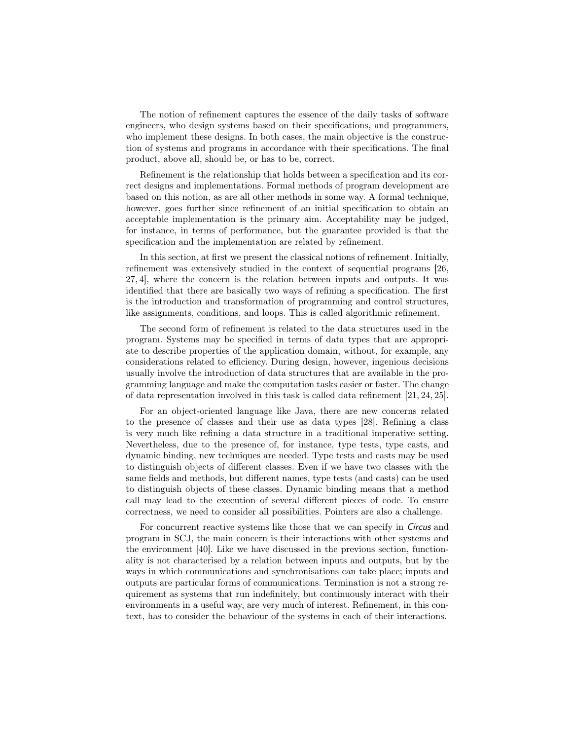The notion of refinement captures the essence of the daily tasks of software engineers, who design systems based on their specifications, and programmers, who implement these designs. In both cases, the main objective is the construction of systems and programs in accordance with their specifications. The final product, above all, should be, or has to be, correct.

Refinement is the relationship that holds between a specification and its correct designs and implementations. Formal methods of program development are based on this notion, as are all other methods in some way. A formal technique, however, goes further since refinement of an initial specification to obtain an acceptable implementation is the primary aim. Acceptability may be judged, for instance, in terms of performance, but the guarantee provided is that the specification and the implementation are related by refinement.

In this section, at first we present the classical notions of refinement. Initially, refinement was extensively studied in the context of sequential programs [26, 27, 4], where the concern is the relation between inputs and outputs. It was identified that there are basically two ways of refining a specification. The first is the introduction and transformation of programming and control structures, like assignments, conditions, and loops. This is called algorithmic refinement.

The second form of refinement is related to the data structures used in the program. Systems may be specified in terms of data types that are appropriate to describe properties of the application domain, without, for example, any considerations related to efficiency. During design, however, ingenious decisions usually involve the introduction of data structures that are available in the programming language and make the computation tasks easier or faster. The change of data representation involved in this task is called data refinement [21, 24, 25].

For an object-oriented language like Java, there are new concerns related to the presence of classes and their use as data types [28]. Refining a class is very much like refining a data structure in a traditional imperative setting. Nevertheless, due to the presence of, for instance, type tests, type casts, and dynamic binding, new techniques are needed. Type tests and casts may be used to distinguish objects of different classes. Even if we have two classes with the same fields and methods, but different names, type tests (and casts) can be used to distinguish objects of these classes. Dynamic binding means that a method call may lead to the execution of several different pieces of code. To ensure correctness, we need to consider all possibilities. Pointers are also a challenge.

For concurrent reactive systems like those that we can specify in Circus and program in SCJ, the main concern is their interactions with other systems and the environment [40]. Like we have discussed in the previous section, functionality is not characterised by a relation between inputs and outputs, but by the ways in which communications and synchronisations can take place; inputs and outputs are particular forms of communications. Termination is not a strong requirement as systems that run indefinitely, but continuously interact with their environments in a useful way, are very much of interest. Refinement, in this context, has to consider the behaviour of the systems in each of their interactions.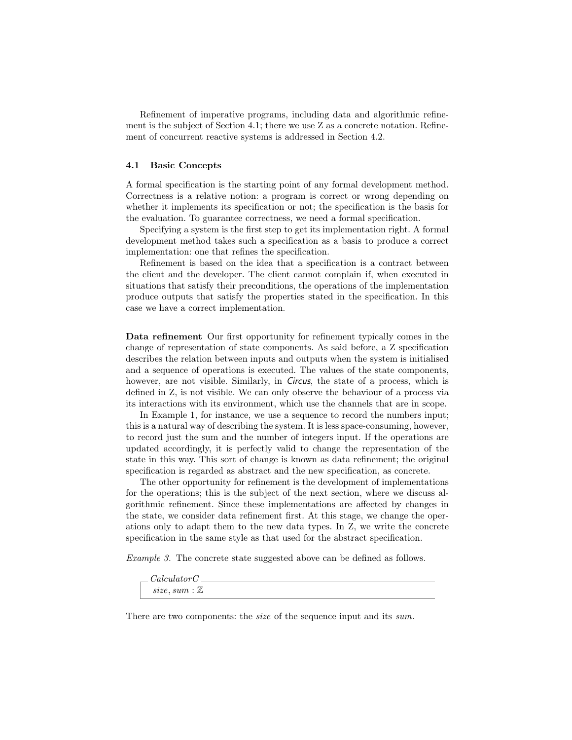Refinement of imperative programs, including data and algorithmic refinement is the subject of Section 4.1; there we use Z as a concrete notation. Refinement of concurrent reactive systems is addressed in Section 4.2.

### 4.1 Basic Concepts

A formal specification is the starting point of any formal development method. Correctness is a relative notion: a program is correct or wrong depending on whether it implements its specification or not; the specification is the basis for the evaluation. To guarantee correctness, we need a formal specification.

Specifying a system is the first step to get its implementation right. A formal development method takes such a specification as a basis to produce a correct implementation: one that refines the specification.

Refinement is based on the idea that a specification is a contract between the client and the developer. The client cannot complain if, when executed in situations that satisfy their preconditions, the operations of the implementation produce outputs that satisfy the properties stated in the specification. In this case we have a correct implementation.

Data refinement Our first opportunity for refinement typically comes in the change of representation of state components. As said before, a Z specification describes the relation between inputs and outputs when the system is initialised and a sequence of operations is executed. The values of the state components, however, are not visible. Similarly, in *Circus*, the state of a process, which is defined in Z, is not visible. We can only observe the behaviour of a process via its interactions with its environment, which use the channels that are in scope.

In Example 1, for instance, we use a sequence to record the numbers input; this is a natural way of describing the system. It is less space-consuming, however, to record just the sum and the number of integers input. If the operations are updated accordingly, it is perfectly valid to change the representation of the state in this way. This sort of change is known as data refinement; the original specification is regarded as abstract and the new specification, as concrete.

The other opportunity for refinement is the development of implementations for the operations; this is the subject of the next section, where we discuss algorithmic refinement. Since these implementations are affected by changes in the state, we consider data refinement first. At this stage, we change the operations only to adapt them to the new data types. In Z, we write the concrete specification in the same style as that used for the abstract specification.

Example 3. The concrete state suggested above can be defined as follows.

| $Calculate \, or \, C$  |  |  |
|-------------------------|--|--|
| $size, sum: \mathbb{Z}$ |  |  |

There are two components: the *size* of the sequence input and its *sum*.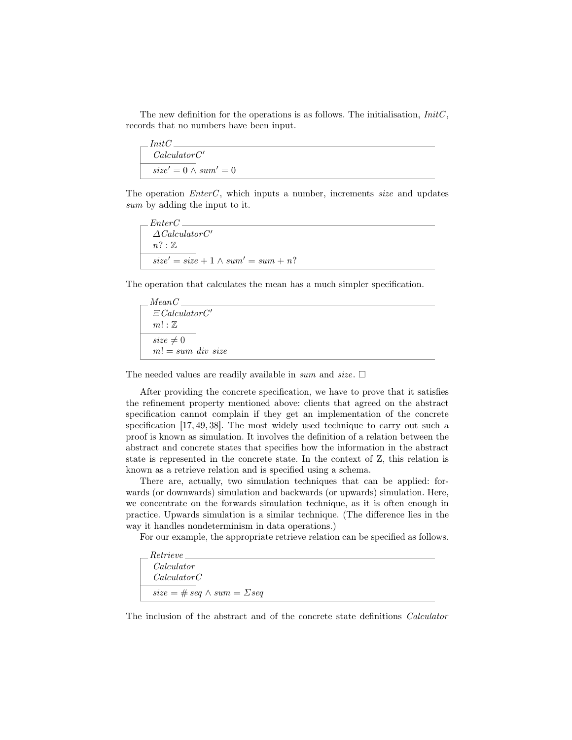The new definition for the operations is as follows. The initialisation,  $InitC$ , records that no numbers have been input.

| InitC                       |  |  |
|-----------------------------|--|--|
| CalculatorC'                |  |  |
| $size' = 0 \wedge sum' = 0$ |  |  |
|                             |  |  |

The operation *EnterC*, which inputs a number, increments size and updates sum by adding the input to it.

| EnterC                                    |  |
|-------------------------------------------|--|
| $\Delta CalculatorC'$                     |  |
| $n? \cdot \mathbb{Z}$                     |  |
| $size' = size + 1 \wedge sum' = sum + n?$ |  |

The operation that calculates the mean has a much simpler specification.

 $\mathcal{N}$ ean $C$  .  $\Xi$ CalculatorC'  $m! : \mathbb{Z}$  $size \neq 0$  $m! = sum\ div\ size$ 

The needed values are readily available in sum and size.  $\square$ 

After providing the concrete specification, we have to prove that it satisfies the refinement property mentioned above: clients that agreed on the abstract specification cannot complain if they get an implementation of the concrete specification [17, 49, 38]. The most widely used technique to carry out such a proof is known as simulation. It involves the definition of a relation between the abstract and concrete states that specifies how the information in the abstract state is represented in the concrete state. In the context of Z, this relation is known as a retrieve relation and is specified using a schema.

There are, actually, two simulation techniques that can be applied: forwards (or downwards) simulation and backwards (or upwards) simulation. Here, we concentrate on the forwards simulation technique, as it is often enough in practice. Upwards simulation is a similar technique. (The difference lies in the way it handles nondeterminism in data operations.)

For our example, the appropriate retrieve relation can be specified as follows.

| <i>Retrieve</i>                      |  |
|--------------------------------------|--|
| Calculator                           |  |
| CalculatorC                          |  |
| $size = #seq \land sum = \Sigma seq$ |  |
|                                      |  |

The inclusion of the abstract and of the concrete state definitions Calculator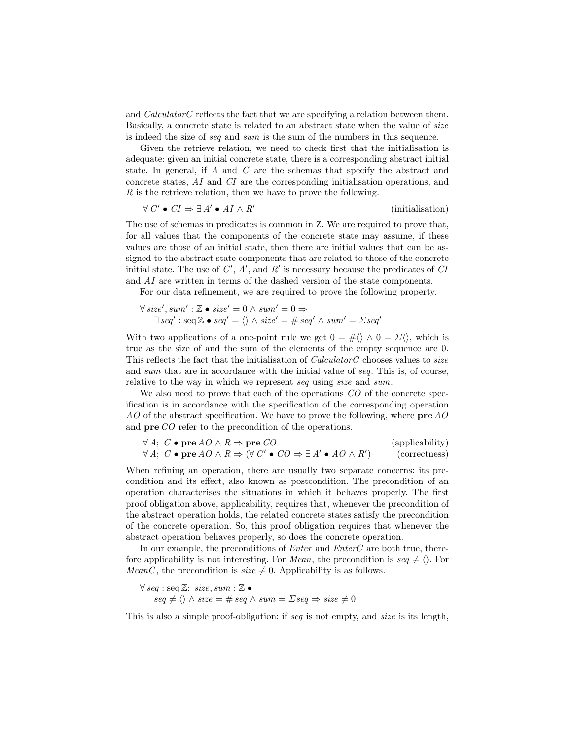and *CalculatorC* reflects the fact that we are specifying a relation between them. Basically, a concrete state is related to an abstract state when the value of size is indeed the size of seq and sum is the sum of the numbers in this sequence.

Given the retrieve relation, we need to check first that the initialisation is adequate: given an initial concrete state, there is a corresponding abstract initial state. In general, if A and C are the schemas that specify the abstract and concrete states, AI and CI are the corresponding initialisation operations, and R is the retrieve relation, then we have to prove the following.

$$
\forall C' \bullet CI \Rightarrow \exists A' \bullet AI \land R' \tag{initialisation}
$$

The use of schemas in predicates is common in Z. We are required to prove that, for all values that the components of the concrete state may assume, if these values are those of an initial state, then there are initial values that can be assigned to the abstract state components that are related to those of the concrete initial state. The use of  $C'$ ,  $A'$ , and  $R'$  is necessary because the predicates of  $CI$ and AI are written in terms of the dashed version of the state components.

For our data refinement, we are required to prove the following property.

$$
\forall \text{ size}', \text{sum}' : \mathbb{Z} \bullet \text{ size}' = 0 \land \text{sum}' = 0 \Rightarrow
$$
  

$$
\exists \text{ seq}' : \text{seq} \mathbb{Z} \bullet \text{ seq}' = \langle \rangle \land \text{ size}' = \# \text{ seq}' \land \text{ sum}' = \Sigma \text{ seq}'
$$

With two applications of a one-point rule we get  $0 = \#\langle \rangle \wedge 0 = \Sigma \langle \rangle$ , which is true as the size of and the sum of the elements of the empty sequence are 0. This reflects the fact that the initialisation of *CalculatorC* chooses values to *size* and sum that are in accordance with the initial value of seq. This is, of course, relative to the way in which we represent seq using size and sum.

We also need to prove that each of the operations CO of the concrete specification is in accordance with the specification of the corresponding operation  $AO$  of the abstract specification. We have to prove the following, where  $pre A O$ and pre CO refer to the precondition of the operations.

$$
\forall A; C \bullet \text{pre } AO \land R \Rightarrow \text{pre } CO
$$
 (applicability)  

$$
\forall A; C \bullet \text{pre } AO \land R \Rightarrow (\forall C' \bullet CO \Rightarrow \exists A' \bullet AO \land R')
$$
 (correctness)

When refining an operation, there are usually two separate concerns: its precondition and its effect, also known as postcondition. The precondition of an operation characterises the situations in which it behaves properly. The first proof obligation above, applicability, requires that, whenever the precondition of the abstract operation holds, the related concrete states satisfy the precondition of the concrete operation. So, this proof obligation requires that whenever the abstract operation behaves properly, so does the concrete operation.

In our example, the preconditions of *Enter* and *EnterC* are both true, therefore applicability is not interesting. For *Mean*, the precondition is  $seq \neq \langle \rangle$ . For *MeanC*, the precondition is  $size \neq 0$ . Applicability is as follows.

$$
\forall \text{ seq} : \text{seq } \mathbb{Z}; \text{ size}, \text{ sum} : \mathbb{Z} \bullet
$$

$$
\text{ seq } \neq \langle \rangle \land \text{ size } = \# \text{ seq } \land \text{ sum } = \Sigma \text{ seq } \Rightarrow \text{ size } \neq 0
$$

This is also a simple proof-obligation: if seq is not empty, and size is its length,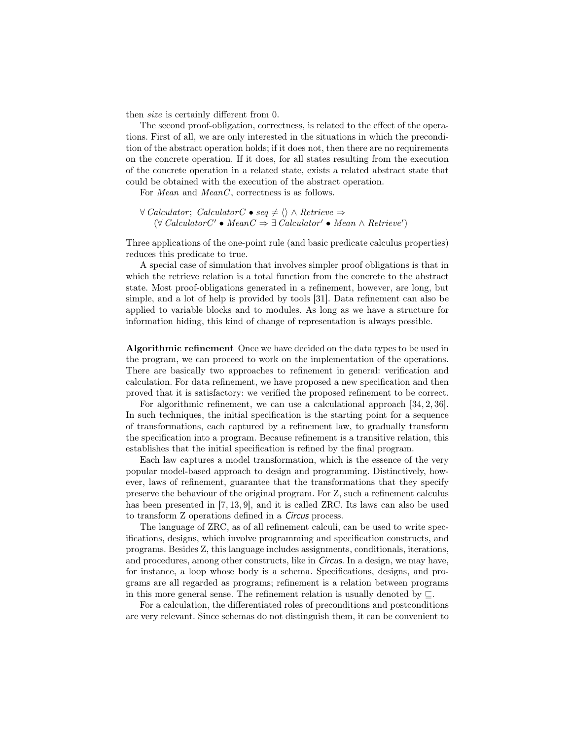then size is certainly different from 0.

The second proof-obligation, correctness, is related to the effect of the operations. First of all, we are only interested in the situations in which the precondition of the abstract operation holds; if it does not, then there are no requirements on the concrete operation. If it does, for all states resulting from the execution of the concrete operation in a related state, exists a related abstract state that could be obtained with the execution of the abstract operation.

For *Mean* and *MeanC*, correctness is as follows.

 $\forall$  Calculator; CalculatorC • seq  $\neq \langle \rangle \wedge$  Retrieve  $\Rightarrow$  $(\forall~ Calculator C' \bullet Mean C \Rightarrow \exists~ Calculator' \bullet Mean \land Retrieved')$ 

Three applications of the one-point rule (and basic predicate calculus properties) reduces this predicate to true.

A special case of simulation that involves simpler proof obligations is that in which the retrieve relation is a total function from the concrete to the abstract state. Most proof-obligations generated in a refinement, however, are long, but simple, and a lot of help is provided by tools [31]. Data refinement can also be applied to variable blocks and to modules. As long as we have a structure for information hiding, this kind of change of representation is always possible.

Algorithmic refinement Once we have decided on the data types to be used in the program, we can proceed to work on the implementation of the operations. There are basically two approaches to refinement in general: verification and calculation. For data refinement, we have proposed a new specification and then proved that it is satisfactory: we verified the proposed refinement to be correct.

For algorithmic refinement, we can use a calculational approach [34, 2, 36]. In such techniques, the initial specification is the starting point for a sequence of transformations, each captured by a refinement law, to gradually transform the specification into a program. Because refinement is a transitive relation, this establishes that the initial specification is refined by the final program.

Each law captures a model transformation, which is the essence of the very popular model-based approach to design and programming. Distinctively, however, laws of refinement, guarantee that the transformations that they specify preserve the behaviour of the original program. For Z, such a refinement calculus has been presented in [7, 13, 9], and it is called ZRC. Its laws can also be used to transform Z operations defined in a Circus process.

The language of ZRC, as of all refinement calculi, can be used to write specifications, designs, which involve programming and specification constructs, and programs. Besides Z, this language includes assignments, conditionals, iterations, and procedures, among other constructs, like in Circus. In a design, we may have, for instance, a loop whose body is a schema. Specifications, designs, and programs are all regarded as programs; refinement is a relation between programs in this more general sense. The refinement relation is usually denoted by  $\Box$ .

For a calculation, the differentiated roles of preconditions and postconditions are very relevant. Since schemas do not distinguish them, it can be convenient to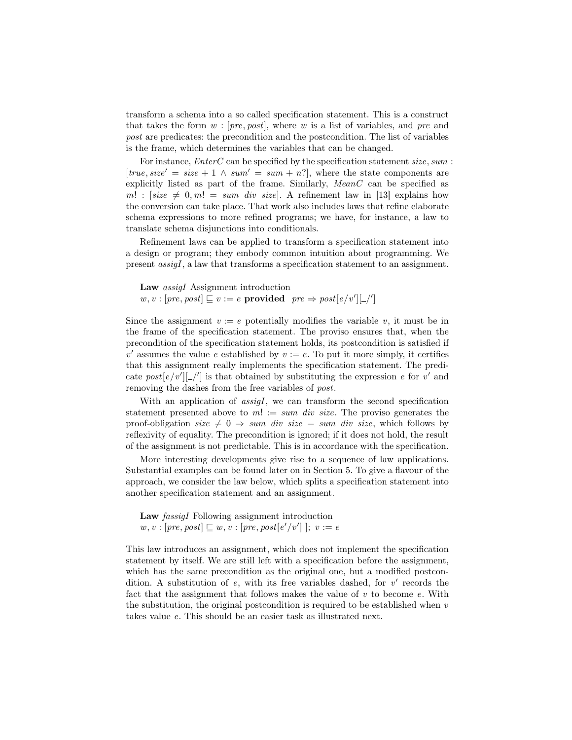transform a schema into a so called specification statement. This is a construct that takes the form  $w : [pre, post]$ , where w is a list of variables, and pre and post are predicates: the precondition and the postcondition. The list of variables is the frame, which determines the variables that can be changed.

For instance, EnterC can be specified by the specification statement size, sum :  $[true, size' = size + 1 \wedge sum' = sum + n$ , where the state components are explicitly listed as part of the frame. Similarly, MeanC can be specified as m! : [size  $\neq 0, m! = sum \ div \ size$ ]. A refinement law in [13] explains how the conversion can take place. That work also includes laws that refine elaborate schema expressions to more refined programs; we have, for instance, a law to translate schema disjunctions into conditionals.

Refinement laws can be applied to transform a specification statement into a design or program; they embody common intuition about programming. We present assigI, a law that transforms a specification statement to an assignment.

Law *assigI* Assignment introduction  $w, v : [pre, post] \sqsubseteq v := e \text{ provided } pre \Rightarrow post[e/v'][-1]$ 

Since the assignment  $v := e$  potentially modifies the variable v, it must be in the frame of the specification statement. The proviso ensures that, when the precondition of the specification statement holds, its postcondition is satisfied if  $v'$  assumes the value e established by  $v := e$ . To put it more simply, it certifies that this assignment really implements the specification statement. The predicate  $post[e/v']$ [-/'] is that obtained by substituting the expression e for v' and removing the dashes from the free variables of post.

With an application of *assigI*, we can transform the second specification statement presented above to  $m! := sum \ div \ size$ . The proviso generates the proof-obligation size  $\neq 0 \Rightarrow sum \ div \ size = sum \ div \ size$ , which follows by reflexivity of equality. The precondition is ignored; if it does not hold, the result of the assignment is not predictable. This is in accordance with the specification.

More interesting developments give rise to a sequence of law applications. Substantial examples can be found later on in Section 5. To give a flavour of the approach, we consider the law below, which splits a specification statement into another specification statement and an assignment.

Law *fassigI* Following assignment introduction  $w, v : [pre, post] \sqsubseteq w, v : [pre, post[e'/v']]; v := e$ 

This law introduces an assignment, which does not implement the specification statement by itself. We are still left with a specification before the assignment, which has the same precondition as the original one, but a modified postcondition. A substitution of  $e$ , with its free variables dashed, for  $v'$  records the fact that the assignment that follows makes the value of  $v$  to become  $e$ . With the substitution, the original postcondition is required to be established when  $v$ takes value e. This should be an easier task as illustrated next.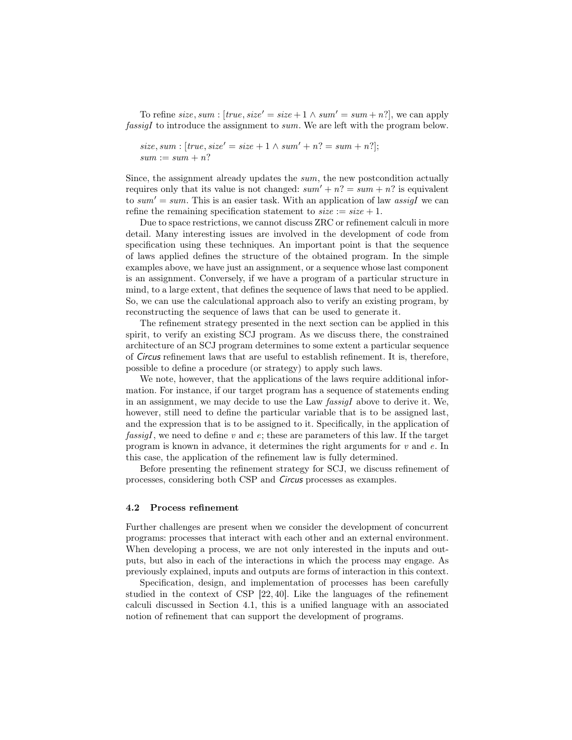To refine size, sum :  $[true, size' = size + 1 \wedge sum' = sum + n?]$ , we can apply fassigI to introduce the assignment to sum. We are left with the program below.

size, sum :  $[true, size' = size + 1 \wedge sum' + n? = sum + n?];$  $sum := sum + n?$ 

Since, the assignment already updates the sum, the new postcondition actually requires only that its value is not changed:  $sum' + n? = sum + n?$  is equivalent to  $sum' = sum$ . This is an easier task. With an application of law assigI we can refine the remaining specification statement to  $size := size + 1$ .

Due to space restrictions, we cannot discuss ZRC or refinement calculi in more detail. Many interesting issues are involved in the development of code from specification using these techniques. An important point is that the sequence of laws applied defines the structure of the obtained program. In the simple examples above, we have just an assignment, or a sequence whose last component is an assignment. Conversely, if we have a program of a particular structure in mind, to a large extent, that defines the sequence of laws that need to be applied. So, we can use the calculational approach also to verify an existing program, by reconstructing the sequence of laws that can be used to generate it.

The refinement strategy presented in the next section can be applied in this spirit, to verify an existing SCJ program. As we discuss there, the constrained architecture of an SCJ program determines to some extent a particular sequence of Circus refinement laws that are useful to establish refinement. It is, therefore, possible to define a procedure (or strategy) to apply such laws.

We note, however, that the applications of the laws require additional information. For instance, if our target program has a sequence of statements ending in an assignment, we may decide to use the Law fassigI above to derive it. We, however, still need to define the particular variable that is to be assigned last, and the expression that is to be assigned to it. Specifically, in the application of  $fassigI$ , we need to define v and  $e$ ; these are parameters of this law. If the target program is known in advance, it determines the right arguments for v and e. In this case, the application of the refinement law is fully determined.

Before presenting the refinement strategy for SCJ, we discuss refinement of processes, considering both CSP and Circus processes as examples.

#### 4.2 Process refinement

Further challenges are present when we consider the development of concurrent programs: processes that interact with each other and an external environment. When developing a process, we are not only interested in the inputs and outputs, but also in each of the interactions in which the process may engage. As previously explained, inputs and outputs are forms of interaction in this context.

Specification, design, and implementation of processes has been carefully studied in the context of CSP [22, 40]. Like the languages of the refinement calculi discussed in Section 4.1, this is a unified language with an associated notion of refinement that can support the development of programs.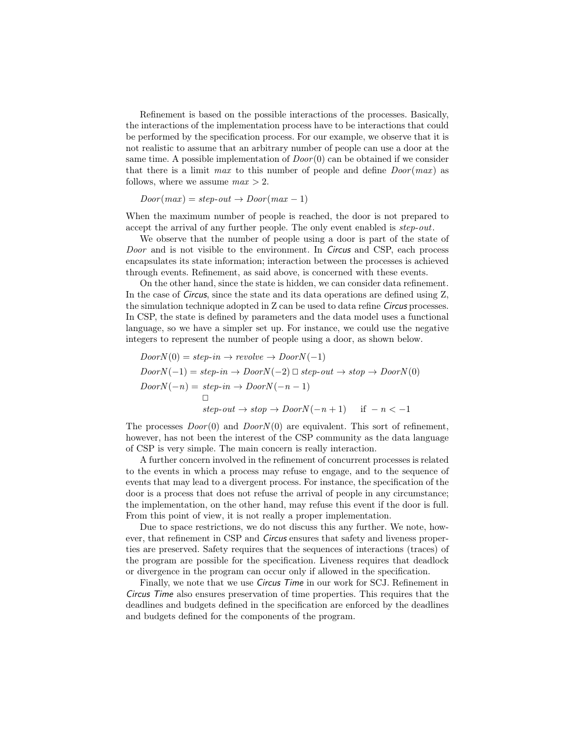Refinement is based on the possible interactions of the processes. Basically, the interactions of the implementation process have to be interactions that could be performed by the specification process. For our example, we observe that it is not realistic to assume that an arbitrary number of people can use a door at the same time. A possible implementation of  $Door(0)$  can be obtained if we consider that there is a limit max to this number of people and define  $Door(max)$  as follows, where we assume  $max > 2$ .

 $Door(max) = step-out \rightarrow Door(max - 1)$ 

When the maximum number of people is reached, the door is not prepared to accept the arrival of any further people. The only event enabled is step-out.

We observe that the number of people using a door is part of the state of Door and is not visible to the environment. In Circus and CSP, each process encapsulates its state information; interaction between the processes is achieved through events. Refinement, as said above, is concerned with these events.

On the other hand, since the state is hidden, we can consider data refinement. In the case of Circus, since the state and its data operations are defined using Z, the simulation technique adopted in Z can be used to data refine Circus processes. In CSP, the state is defined by parameters and the data model uses a functional language, so we have a simpler set up. For instance, we could use the negative integers to represent the number of people using a door, as shown below.

$$
DoorN(0) = step-in \rightarrow revolve \rightarrow DoorN(-1)
$$
  
\n
$$
DoorN(-1) = step-in \rightarrow DoorN(-2) \sqcup step-out \rightarrow stop \rightarrow DoorN(0)
$$
  
\n
$$
DoorN(-n) = step-in \rightarrow DoorN(-n-1)
$$
  
\n
$$
\sqcup
$$
  
\n
$$
step-out \rightarrow stop \rightarrow DoorN(-n+1)
$$
 if  $-n < -1$ 

The processes  $Door(0)$  and  $DoorN(0)$  are equivalent. This sort of refinement, however, has not been the interest of the CSP community as the data language of CSP is very simple. The main concern is really interaction.

A further concern involved in the refinement of concurrent processes is related to the events in which a process may refuse to engage, and to the sequence of events that may lead to a divergent process. For instance, the specification of the door is a process that does not refuse the arrival of people in any circumstance; the implementation, on the other hand, may refuse this event if the door is full. From this point of view, it is not really a proper implementation.

Due to space restrictions, we do not discuss this any further. We note, however, that refinement in CSP and Circus ensures that safety and liveness properties are preserved. Safety requires that the sequences of interactions (traces) of the program are possible for the specification. Liveness requires that deadlock or divergence in the program can occur only if allowed in the specification.

Finally, we note that we use Circus Time in our work for SCJ. Refinement in Circus Time also ensures preservation of time properties. This requires that the deadlines and budgets defined in the specification are enforced by the deadlines and budgets defined for the components of the program.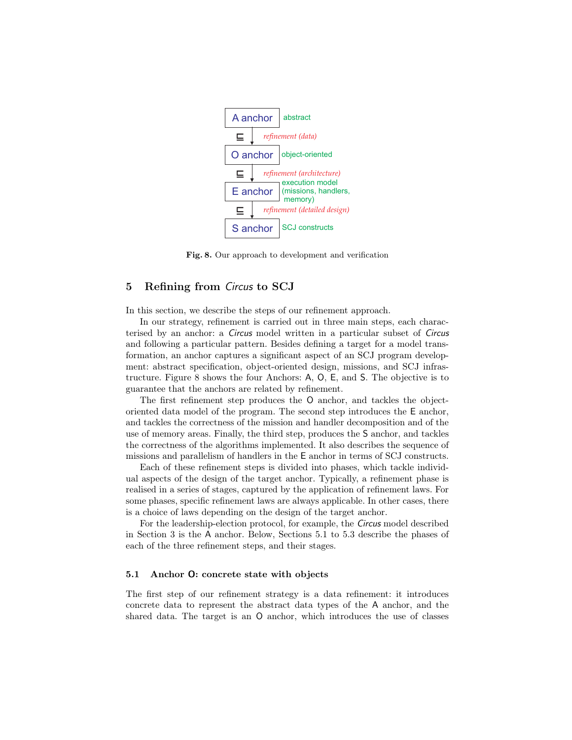

Fig. 8. Our approach to development and verification

# 5 Refining from Circus to SCJ

In this section, we describe the steps of our refinement approach.

In our strategy, refinement is carried out in three main steps, each characterised by an anchor: a Circus model written in a particular subset of Circus and following a particular pattern. Besides defining a target for a model transformation, an anchor captures a significant aspect of an SCJ program development: abstract specification, object-oriented design, missions, and SCJ infrastructure. Figure 8 shows the four Anchors: A, O, E, and S. The objective is to guarantee that the anchors are related by refinement.

The first refinement step produces the O anchor, and tackles the objectoriented data model of the program. The second step introduces the E anchor, and tackles the correctness of the mission and handler decomposition and of the use of memory areas. Finally, the third step, produces the S anchor, and tackles the correctness of the algorithms implemented. It also describes the sequence of missions and parallelism of handlers in the E anchor in terms of SCJ constructs.

Each of these refinement steps is divided into phases, which tackle individual aspects of the design of the target anchor. Typically, a refinement phase is realised in a series of stages, captured by the application of refinement laws. For some phases, specific refinement laws are always applicable. In other cases, there is a choice of laws depending on the design of the target anchor.

For the leadership-election protocol, for example, the Circus model described in Section 3 is the A anchor. Below, Sections 5.1 to 5.3 describe the phases of each of the three refinement steps, and their stages.

### 5.1 Anchor O: concrete state with objects

The first step of our refinement strategy is a data refinement: it introduces concrete data to represent the abstract data types of the A anchor, and the shared data. The target is an O anchor, which introduces the use of classes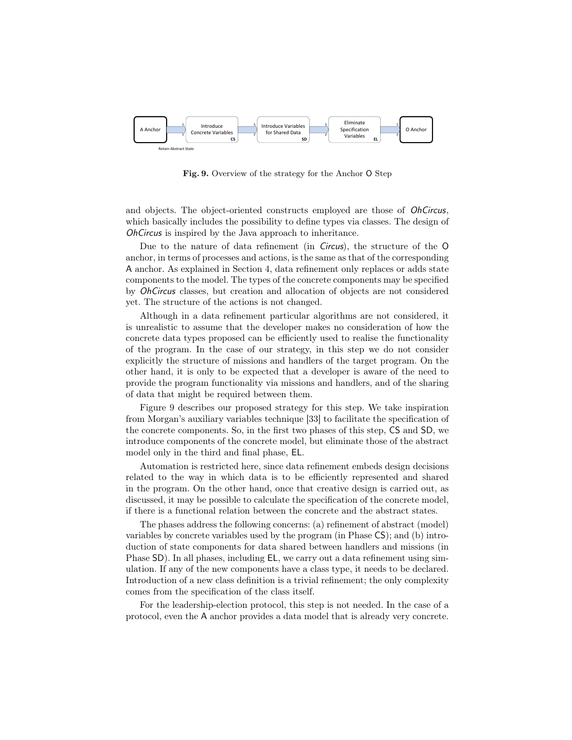

Fig. 9. Overview of the strategy for the Anchor O Step

and objects. The object-oriented constructs employed are those of OhCircus, which basically includes the possibility to define types via classes. The design of OhCircus is inspired by the Java approach to inheritance.

Due to the nature of data refinement (in Circus), the structure of the O anchor, in terms of processes and actions, is the same as that of the corresponding A anchor. As explained in Section 4, data refinement only replaces or adds state components to the model. The types of the concrete components may be specified by OhCircus classes, but creation and allocation of objects are not considered yet. The structure of the actions is not changed.

Although in a data refinement particular algorithms are not considered, it is unrealistic to assume that the developer makes no consideration of how the concrete data types proposed can be efficiently used to realise the functionality of the program. In the case of our strategy, in this step we do not consider explicitly the structure of missions and handlers of the target program. On the other hand, it is only to be expected that a developer is aware of the need to provide the program functionality via missions and handlers, and of the sharing of data that might be required between them.

Figure 9 describes our proposed strategy for this step. We take inspiration from Morgan's auxiliary variables technique [33] to facilitate the specification of the concrete components. So, in the first two phases of this step, CS and SD, we introduce components of the concrete model, but eliminate those of the abstract model only in the third and final phase, EL.

Automation is restricted here, since data refinement embeds design decisions related to the way in which data is to be efficiently represented and shared in the program. On the other hand, once that creative design is carried out, as discussed, it may be possible to calculate the specification of the concrete model, if there is a functional relation between the concrete and the abstract states.

The phases address the following concerns: (a) refinement of abstract (model) variables by concrete variables used by the program (in Phase CS); and (b) introduction of state components for data shared between handlers and missions (in Phase SD). In all phases, including EL, we carry out a data refinement using simulation. If any of the new components have a class type, it needs to be declared. Introduction of a new class definition is a trivial refinement; the only complexity comes from the specification of the class itself.

For the leadership-election protocol, this step is not needed. In the case of a protocol, even the A anchor provides a data model that is already very concrete.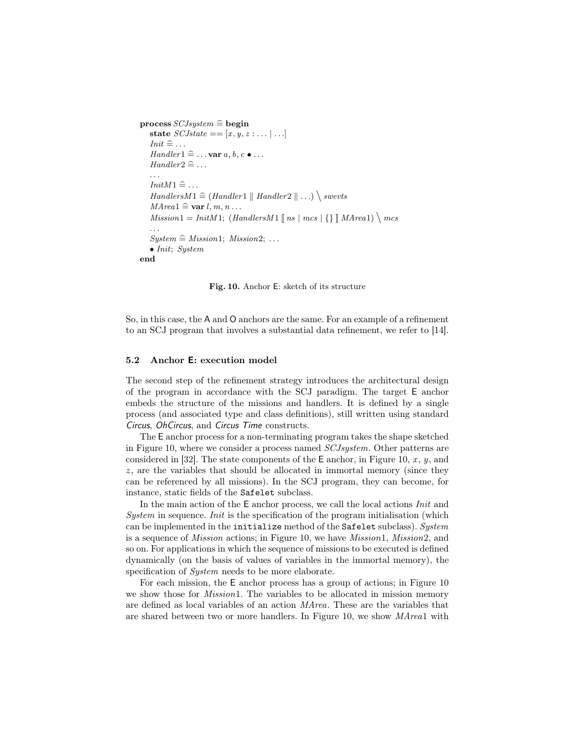```
process SCJ system \hat{=} begin
   state SCJstate == [x, y, z : \dots | \dots]Init \cong \ldotsHandler1 \; \widehat{=} \ldots var a, b, c \bullet \ldotsHandler2 \cong .... . .
   InitM1 \cong \ldotsHandlersM1 \cong (Handler1 \parallel Handler2 \parallel ...) \ \ \MArea1 \triangleq var l, m, n...
   Mission1 = InitM1; (HandlersM1 \mid ns \mid mcs \mid {\} \mid MArea1) \setminus mcs. . .
   System \cong Mission1; Mission2; \ldots• Init; System
end
```
Fig. 10. Anchor E: sketch of its structure

So, in this case, the A and O anchors are the same. For an example of a refinement to an SCJ program that involves a substantial data refinement, we refer to [14].

### 5.2 Anchor E: execution model

The second step of the refinement strategy introduces the architectural design of the program in accordance with the SCJ paradigm. The target E anchor embeds the structure of the missions and handlers. It is defined by a single process (and associated type and class definitions), still written using standard Circus, OhCircus, and Circus Time constructs.

The E anchor process for a non-terminating program takes the shape sketched in Figure 10, where we consider a process named SCJsystem. Other patterns are considered in [32]. The state components of the  $E$  anchor, in Figure 10, x, y, and  $z$ , are the variables that should be allocated in immortal memory (since they can be referenced by all missions). In the SCJ program, they can become, for instance, static fields of the Safelet subclass.

In the main action of the E anchor process, we call the local actions *Init* and  $System$  in sequence. *Init* is the specification of the program initialisation (which can be implemented in the initialize method of the Safelet subclass). System is a sequence of Mission actions; in Figure 10, we have Mission1, Mission2, and so on. For applications in which the sequence of missions to be executed is defined dynamically (on the basis of values of variables in the immortal memory), the specification of *System* needs to be more elaborate.

For each mission, the E anchor process has a group of actions; in Figure 10 we show those for *Mission*1. The variables to be allocated in mission memory are defined as local variables of an action MArea. These are the variables that are shared between two or more handlers. In Figure 10, we show MArea1 with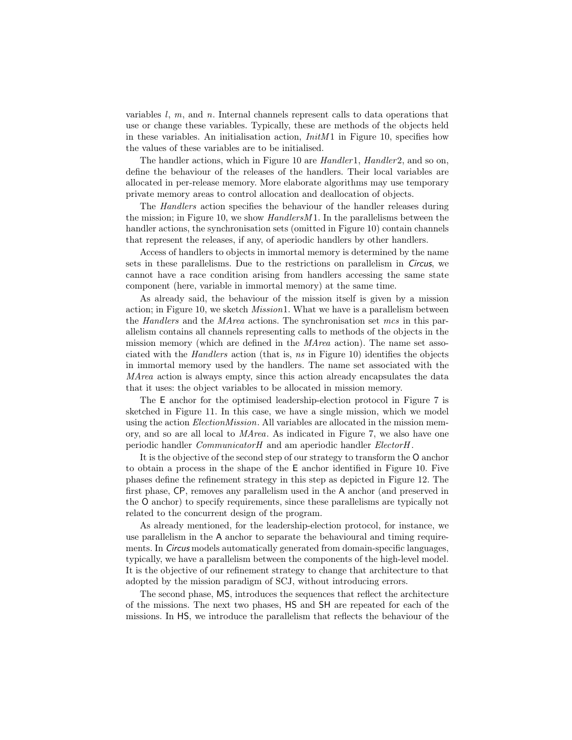variables  $l, m$ , and  $n$ . Internal channels represent calls to data operations that use or change these variables. Typically, these are methods of the objects held in these variables. An initialisation action,  $InitM1$  in Figure 10, specifies how the values of these variables are to be initialised.

The handler actions, which in Figure 10 are Handler1, Handler2, and so on, define the behaviour of the releases of the handlers. Their local variables are allocated in per-release memory. More elaborate algorithms may use temporary private memory areas to control allocation and deallocation of objects.

The Handlers action specifies the behaviour of the handler releases during the mission; in Figure 10, we show  $HandlersM1$ . In the parallelisms between the handler actions, the synchronisation sets (omitted in Figure 10) contain channels that represent the releases, if any, of aperiodic handlers by other handlers.

Access of handlers to objects in immortal memory is determined by the name sets in these parallelisms. Due to the restrictions on parallelism in Circus, we cannot have a race condition arising from handlers accessing the same state component (here, variable in immortal memory) at the same time.

As already said, the behaviour of the mission itself is given by a mission action; in Figure 10, we sketch Mission1. What we have is a parallelism between the Handlers and the MArea actions. The synchronisation set mcs in this parallelism contains all channels representing calls to methods of the objects in the mission memory (which are defined in the MArea action). The name set associated with the Handlers action (that is, ns in Figure 10) identifies the objects in immortal memory used by the handlers. The name set associated with the MArea action is always empty, since this action already encapsulates the data that it uses: the object variables to be allocated in mission memory.

The E anchor for the optimised leadership-election protocol in Figure 7 is sketched in Figure 11. In this case, we have a single mission, which we model using the action *ElectionMission*. All variables are allocated in the mission memory, and so are all local to MArea. As indicated in Figure 7, we also have one periodic handler CommunicatorH and am aperiodic handler ElectorH .

It is the objective of the second step of our strategy to transform the O anchor to obtain a process in the shape of the E anchor identified in Figure 10. Five phases define the refinement strategy in this step as depicted in Figure 12. The first phase, CP, removes any parallelism used in the A anchor (and preserved in the O anchor) to specify requirements, since these parallelisms are typically not related to the concurrent design of the program.

As already mentioned, for the leadership-election protocol, for instance, we use parallelism in the A anchor to separate the behavioural and timing requirements. In *Circus* models automatically generated from domain-specific languages, typically, we have a parallelism between the components of the high-level model. It is the objective of our refinement strategy to change that architecture to that adopted by the mission paradigm of SCJ, without introducing errors.

The second phase, MS, introduces the sequences that reflect the architecture of the missions. The next two phases, HS and SH are repeated for each of the missions. In HS, we introduce the parallelism that reflects the behaviour of the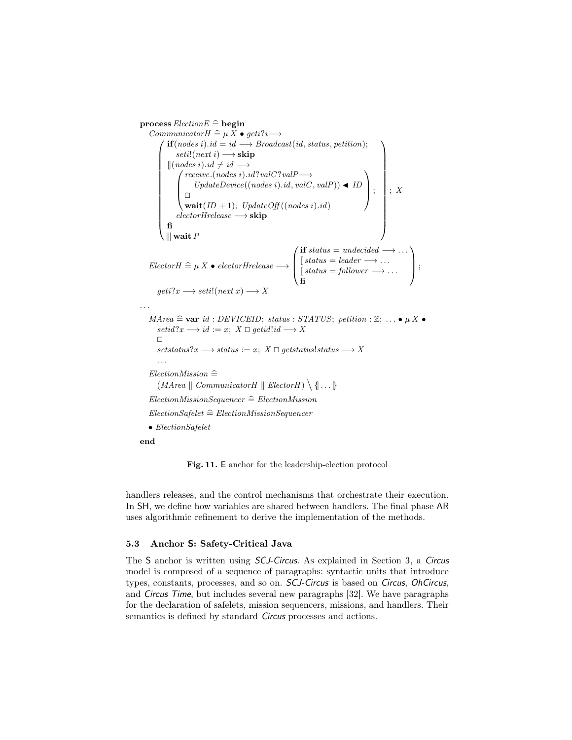**process** ElectionE  $\cong$  **begin**<br>CommunicatorH  $\cong \mu X \bullet geti?i \rightarrow$  $Communicator H \triangleq \mu X \bullet geti?i \longrightarrow$ <br>  $\int \textbf{if}(nodes i).id = id \longrightarrow Broadcast(id, status, petition);$   $seti!(next\ i) \longrightarrow \mathbf{skip}$  $\parallel$ (nodes i  $\begin{array}{l} \textit{nodes } i) \mathit{.} id \neq id \longrightarrow \ \end{array}$  $\vert$  $receive.(nodes i).id?valC?valP \longrightarrow$  $UpdateDevice((nodes i).id, valC, valP)) \triangleleft ID$  $\Box$  $\textbf{wait}(ID + 1); \; UpdateOff((nodes i).id)$  $\overline{ }$  $\Big\}$  $electorH release \longrightarrow$ skip fi  $\parallel\parallel$  wait  $P$  $\sqrt{2}$  ; X  $Elector H \cong \mu X \bullet elector H release \longrightarrow$  $\overline{1}$ if status = undecided  $\longrightarrow \dots$  $[$ status = leader  $\longrightarrow \dots$  $[$ status = follower  $\longrightarrow \dots$ fi  $\sqrt{2}$  $\Bigg|$  $geti?x \longrightarrow seti!(next\ x) \longrightarrow X$ . . .  $MArea \cong \textbf{var} id : DEVICEID; status : STATUS; petition : \mathbb{Z}; \dots \bullet \mu X \bullet$  $setid?x \longrightarrow id := x; X \square getid!id \longrightarrow X$  $\Box$  $sets tatus?x \longrightarrow status := x; X \sqcup get status! status \longrightarrow X$ . . .  $Electron Mission \cong$  $(MArea \parallel CommunicationH \parallel ElectronH) \setminus {\_{}...$  $Electron MissionSequence \widehat{=}~Electron Mission$  $ElectronSafelet \cong ElectronMissionSequence$ • ElectionSafelet end

Fig. 11. E anchor for the leadership-election protocol

handlers releases, and the control mechanisms that orchestrate their execution. In SH, we define how variables are shared between handlers. The final phase AR uses algorithmic refinement to derive the implementation of the methods.

#### 5.3 Anchor S: Safety-Critical Java

The S anchor is written using SCJ-Circus. As explained in Section 3, a Circus model is composed of a sequence of paragraphs: syntactic units that introduce types, constants, processes, and so on. SCJ-Circus is based on Circus, OhCircus, and Circus Time, but includes several new paragraphs [32]. We have paragraphs for the declaration of safelets, mission sequencers, missions, and handlers. Their semantics is defined by standard Circus processes and actions.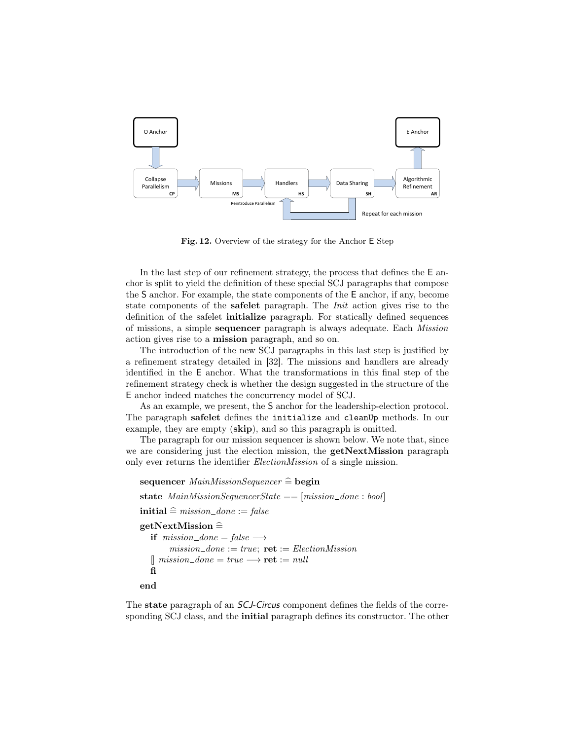

Fig. 12. Overview of the strategy for the Anchor E Step

In the last step of our refinement strategy, the process that defines the E anchor is split to yield the definition of these special SCJ paragraphs that compose the S anchor. For example, the state components of the E anchor, if any, become state components of the **safelet** paragraph. The *Init* action gives rise to the definition of the safelet initialize paragraph. For statically defined sequences of missions, a simple sequencer paragraph is always adequate. Each Mission action gives rise to a mission paragraph, and so on.

The introduction of the new SCJ paragraphs in this last step is justified by a refinement strategy detailed in [32]. The missions and handlers are already identified in the E anchor. What the transformations in this final step of the refinement strategy check is whether the design suggested in the structure of the E anchor indeed matches the concurrency model of SCJ.

As an example, we present, the S anchor for the leadership-election protocol. The paragraph safelet defines the initialize and cleanUp methods. In our example, they are empty (skip), and so this paragraph is omitted.

The paragraph for our mission sequencer is shown below. We note that, since we are considering just the election mission, the **getNextMission** paragraph only ever returns the identifier ElectionMission of a single mission.

```
sequencer MainMissionSequence \hat{=} begin
state MainMissionSequenceState == [mission\_done : bool]initial \widehat{=} mission_done := false
getNextMission \hat{=}if mission\_done = false \rightarrowmission\_done := true; \mathbf{ret} := Electronic\parallel mission_done = true \longrightarrow ret := null
   fi
end
```
The state paragraph of an *SCJ-Circus* component defines the fields of the corresponding SCJ class, and the initial paragraph defines its constructor. The other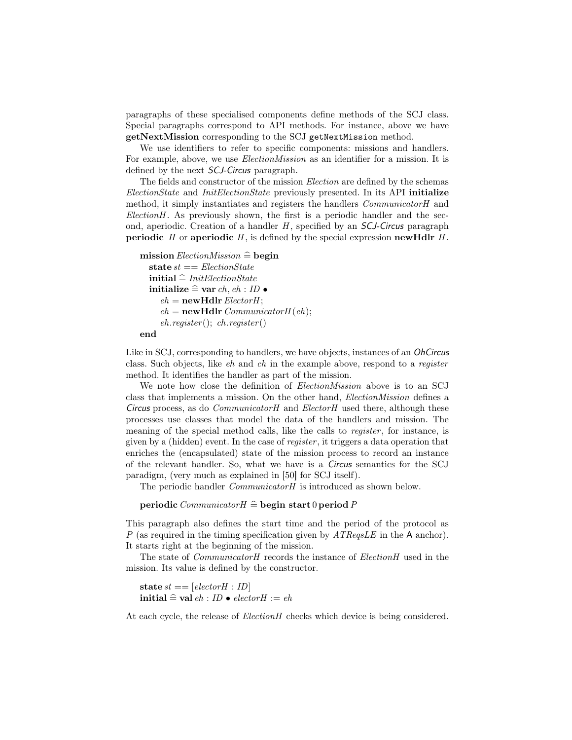paragraphs of these specialised components define methods of the SCJ class. Special paragraphs correspond to API methods. For instance, above we have getNextMission corresponding to the SCJ getNextMission method.

We use identifiers to refer to specific components: missions and handlers. For example, above, we use ElectionMission as an identifier for a mission. It is defined by the next SCJ-Circus paragraph.

The fields and constructor of the mission Election are defined by the schemas ElectionState and InitElectionState previously presented. In its API initialize method, it simply instantiates and registers the handlers *CommunicatorH* and  $Electron H$ . As previously shown, the first is a periodic handler and the second, aperiodic. Creation of a handler  $H$ , specified by an **SCJ-Circus** paragraph **periodic** H or aperiodic H, is defined by the special expression new Hdl r H.

```
mission Electron Mission \cong begin
   state st == ElectionState
   \textbf{initial} \triangleq \textit{InitElectronicState}initialize \widehat{=} var ch, eh : ID •
      eh = newHdlr \,Elector H;ch = newHdir <i>CommunicatorH</i>(eh);eh.\text{register}(); ch.\text{register()}
```
end

Like in SCJ, corresponding to handlers, we have objects, instances of an *OhCircus* class. Such objects, like eh and ch in the example above, respond to a register method. It identifies the handler as part of the mission.

We note how close the definition of ElectionMission above is to an SCJ class that implements a mission. On the other hand, ElectionMission defines a Circus process, as do *CommunicatorH* and *ElectorH* used there, although these processes use classes that model the data of the handlers and mission. The meaning of the special method calls, like the calls to *register*, for instance, is given by a (hidden) event. In the case of register, it triggers a data operation that enriches the (encapsulated) state of the mission process to record an instance of the relevant handler. So, what we have is a Circus semantics for the SCJ paradigm, (very much as explained in [50] for SCJ itself).

The periodic handler *CommunicatorH* is introduced as shown below.

#### periodic Communicator $H \triangleq$  begin start 0 period P

This paragraph also defines the start time and the period of the protocol as P (as required in the timing specification given by  $ATRegsLE$  in the A anchor). It starts right at the beginning of the mission.

The state of *CommunicatorH* records the instance of *ElectionH* used in the mission. Its value is defined by the constructor.

state  $st == [electronH : ID]$ initial  $\widehat{=}$  val  $eh : ID \bullet \, electronH := eh$ 

At each cycle, the release of *ElectionH* checks which device is being considered.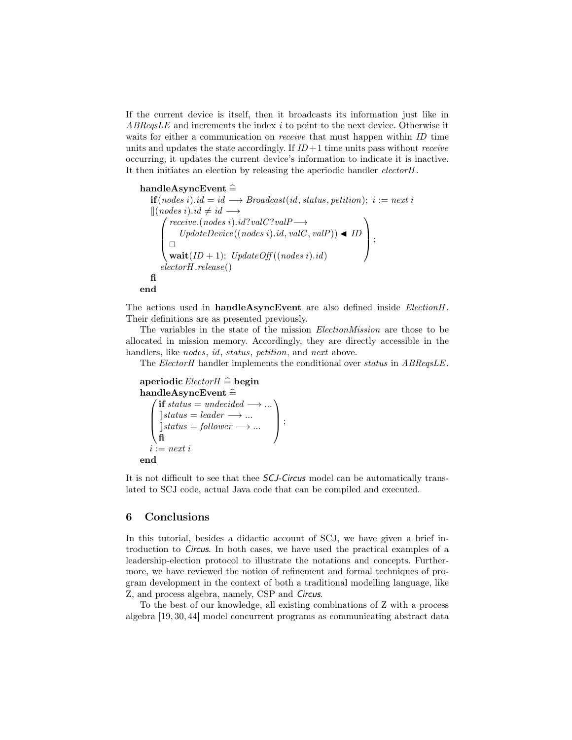If the current device is itself, then it broadcasts its information just like in  $ABRegsLE$  and increments the index i to point to the next device. Otherwise it waits for either a communication on *receive* that must happen within *ID* time units and updates the state accordingly. If  $ID+1$  time units pass without *receive* occurring, it updates the current device's information to indicate it is inactive. It then initiates an election by releasing the aperiodic handler electorH .

handleAsyncEvent  $\hat{=}$ 

 $\textbf{if}(nodes i).id = id \longrightarrow Broadcast(id, status, petition); i := next i$  $[ \cdot \text{(nodes i)} \cdot \text{id} \neq \text{id} \longrightarrow$  $\sqrt{ }$  $\overline{\phantom{a}}$  $receive.(nodes i).id?valC?valP \longrightarrow$  $UpdateDevice((nodes i).id, valC, valP)) \triangleleft ID$  $\Box$  $\textbf{wait}(ID + 1); \; UpdateOff((nodes i).id)$  $\setminus$  $\Bigg|$ electorH .release() fi

end

The actions used in handleAsyncEvent are also defined inside ElectionH. Their definitions are as presented previously.

The variables in the state of the mission ElectionMission are those to be allocated in mission memory. Accordingly, they are directly accessible in the handlers, like *nodes*, *id*, *status*, *petition*, and *next* above.

The ElectorH handler implements the conditional over status in ABReqsLE.

```
aperiodic ElectronH \hat{=} begin
handleAsyncEvent \hat{=}\begin{align} \textbf{andleAsyncEvent} \ \widehat{=} \ \textbf{is } status = \textit{undecid} \end{align}\overline{\phantom{a}}if status = undecided \longrightarrow ...
          \parallelstatus = leader \longrightarrow ...
          [status = follower \longrightarrow ...
          fi
                                                                  \setminus\Bigg)i := next \, i
```
end

It is not difficult to see that thee SCJ-Circus model can be automatically translated to SCJ code, actual Java code that can be compiled and executed.

## 6 Conclusions

In this tutorial, besides a didactic account of SCJ, we have given a brief introduction to Circus. In both cases, we have used the practical examples of a leadership-election protocol to illustrate the notations and concepts. Furthermore, we have reviewed the notion of refinement and formal techniques of program development in the context of both a traditional modelling language, like Z, and process algebra, namely, CSP and Circus.

To the best of our knowledge, all existing combinations of Z with a process algebra [19, 30, 44] model concurrent programs as communicating abstract data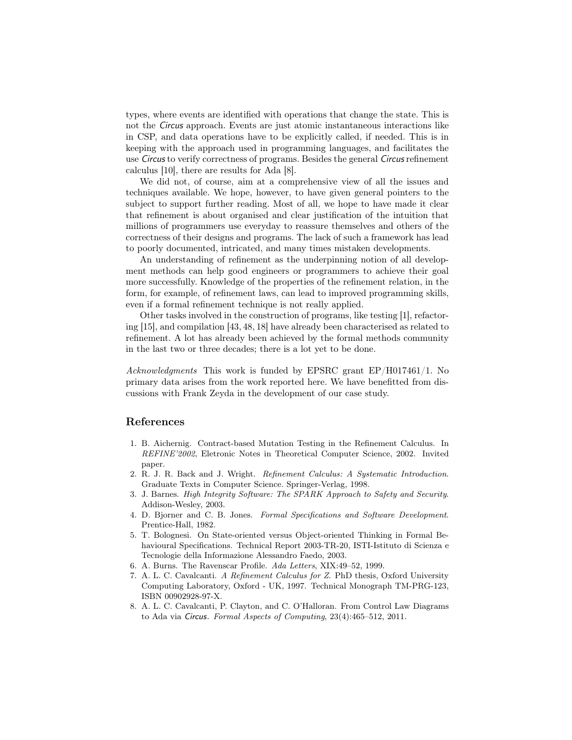types, where events are identified with operations that change the state. This is not the Circus approach. Events are just atomic instantaneous interactions like in CSP, and data operations have to be explicitly called, if needed. This is in keeping with the approach used in programming languages, and facilitates the use Circus to verify correctness of programs. Besides the general Circus refinement calculus [10], there are results for Ada [8].

We did not, of course, aim at a comprehensive view of all the issues and techniques available. We hope, however, to have given general pointers to the subject to support further reading. Most of all, we hope to have made it clear that refinement is about organised and clear justification of the intuition that millions of programmers use everyday to reassure themselves and others of the correctness of their designs and programs. The lack of such a framework has lead to poorly documented, intricated, and many times mistaken developments.

An understanding of refinement as the underpinning notion of all development methods can help good engineers or programmers to achieve their goal more successfully. Knowledge of the properties of the refinement relation, in the form, for example, of refinement laws, can lead to improved programming skills, even if a formal refinement technique is not really applied.

Other tasks involved in the construction of programs, like testing [1], refactoring [15], and compilation [43, 48, 18] have already been characterised as related to refinement. A lot has already been achieved by the formal methods community in the last two or three decades; there is a lot yet to be done.

Acknowledgments This work is funded by EPSRC grant EP/H017461/1. No primary data arises from the work reported here. We have benefitted from discussions with Frank Zeyda in the development of our case study.

# References

- 1. B. Aichernig. Contract-based Mutation Testing in the Refinement Calculus. In *REFINE'2002*, Eletronic Notes in Theoretical Computer Science, 2002. Invited paper.
- 2. R. J. R. Back and J. Wright. *Refinement Calculus: A Systematic Introduction*. Graduate Texts in Computer Science. Springer-Verlag, 1998.
- 3. J. Barnes. *High Integrity Software: The SPARK Approach to Safety and Security*. Addison-Wesley, 2003.
- 4. D. Bjorner and C. B. Jones. *Formal Specifications and Software Development*. Prentice-Hall, 1982.
- 5. T. Bolognesi. On State-oriented versus Object-oriented Thinking in Formal Behavioural Specifications. Technical Report 2003-TR-20, ISTI-Istituto di Scienza e Tecnologie della Informazione Alessandro Faedo, 2003.
- 6. A. Burns. The Ravenscar Profile. *Ada Letters*, XIX:49–52, 1999.
- 7. A. L. C. Cavalcanti. *A Refinement Calculus for Z*. PhD thesis, Oxford University Computing Laboratory, Oxford - UK, 1997. Technical Monograph TM-PRG-123, ISBN 00902928-97-X.
- 8. A. L. C. Cavalcanti, P. Clayton, and C. O'Halloran. From Control Law Diagrams to Ada via Circus. *Formal Aspects of Computing*, 23(4):465–512, 2011.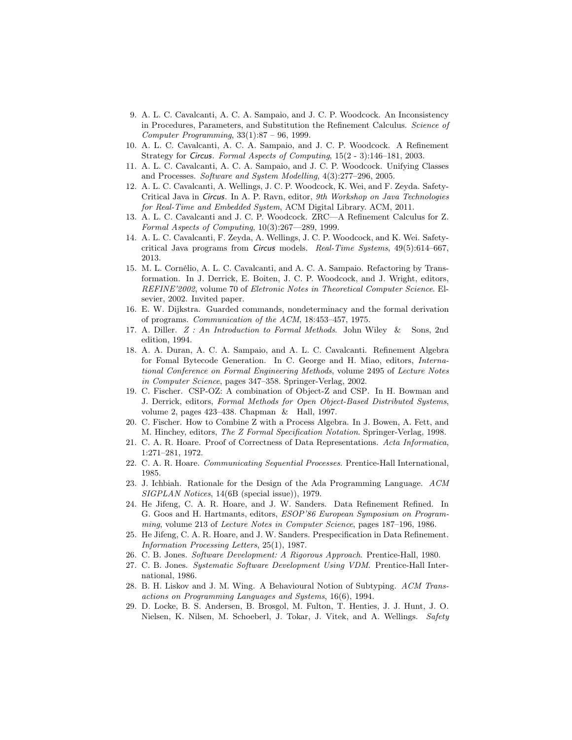- 9. A. L. C. Cavalcanti, A. C. A. Sampaio, and J. C. P. Woodcock. An Inconsistency in Procedures, Parameters, and Substitution the Refinement Calculus. *Science of Computer Programming*, 33(1):87 – 96, 1999.
- 10. A. L. C. Cavalcanti, A. C. A. Sampaio, and J. C. P. Woodcock. A Refinement Strategy for Circus. *Formal Aspects of Computing*, 15(2 - 3):146–181, 2003.
- 11. A. L. C. Cavalcanti, A. C. A. Sampaio, and J. C. P. Woodcock. Unifying Classes and Processes. *Software and System Modelling*, 4(3):277–296, 2005.
- 12. A. L. C. Cavalcanti, A. Wellings, J. C. P. Woodcock, K. Wei, and F. Zeyda. Safety-Critical Java in Circus. In A. P. Ravn, editor, *9th Workshop on Java Technologies for Real-Time and Embedded System*, ACM Digital Library. ACM, 2011.
- 13. A. L. C. Cavalcanti and J. C. P. Woodcock. ZRC—A Refinement Calculus for Z. *Formal Aspects of Computing*, 10(3):267—289, 1999.
- 14. A. L. C. Cavalcanti, F. Zeyda, A. Wellings, J. C. P. Woodcock, and K. Wei. Safetycritical Java programs from Circus models. *Real-Time Systems*, 49(5):614–667, 2013.
- 15. M. L. Cornélio, A. L. C. Cavalcanti, and A. C. A. Sampaio. Refactoring by Transformation. In J. Derrick, E. Boiten, J. C. P. Woodcock, and J. Wright, editors, *REFINE'2002*, volume 70 of *Eletronic Notes in Theoretical Computer Science*. Elsevier, 2002. Invited paper.
- 16. E. W. Dijkstra. Guarded commands, nondeterminacy and the formal derivation of programs. *Communication of the ACM*, 18:453–457, 1975.
- 17. A. Diller. *Z : An Introduction to Formal Methods*. John Wiley & Sons, 2nd edition, 1994.
- 18. A. A. Duran, A. C. A. Sampaio, and A. L. C. Cavalcanti. Refinement Algebra for Fomal Bytecode Generation. In C. George and H. Miao, editors, *International Conference on Formal Engineering Methods*, volume 2495 of *Lecture Notes in Computer Science*, pages 347–358. Springer-Verlag, 2002.
- 19. C. Fischer. CSP-OZ: A combination of Object-Z and CSP. In H. Bowman and J. Derrick, editors, *Formal Methods for Open Object-Based Distributed Systems*, volume 2, pages 423–438. Chapman & Hall, 1997.
- 20. C. Fischer. How to Combine Z with a Process Algebra. In J. Bowen, A. Fett, and M. Hinchey, editors, *The Z Formal Specification Notation*. Springer-Verlag, 1998.
- 21. C. A. R. Hoare. Proof of Correctness of Data Representations. *Acta Informatica*, 1:271–281, 1972.
- 22. C. A. R. Hoare. *Communicating Sequential Processes*. Prentice-Hall International, 1985.
- 23. J. Ichbiah. Rationale for the Design of the Ada Programming Language. *ACM SIGPLAN Notices*, 14(6B (special issue)), 1979.
- 24. He Jifeng, C. A. R. Hoare, and J. W. Sanders. Data Refinement Refined. In G. Goos and H. Hartmants, editors, *ESOP'86 European Symposium on Programming*, volume 213 of *Lecture Notes in Computer Science*, pages 187–196, 1986.
- 25. He Jifeng, C. A. R. Hoare, and J. W. Sanders. Prespecification in Data Refinement. *Information Processing Letters*, 25(1), 1987.
- 26. C. B. Jones. *Software Development: A Rigorous Approach*. Prentice-Hall, 1980.
- 27. C. B. Jones. *Systematic Software Development Using VDM*. Prentice-Hall International, 1986.
- 28. B. H. Liskov and J. M. Wing. A Behavioural Notion of Subtyping. *ACM Transactions on Programming Languages and Systems*, 16(6), 1994.
- 29. D. Locke, B. S. Andersen, B. Brosgol, M. Fulton, T. Henties, J. J. Hunt, J. O. Nielsen, K. Nilsen, M. Schoeberl, J. Tokar, J. Vitek, and A. Wellings. *Safety*